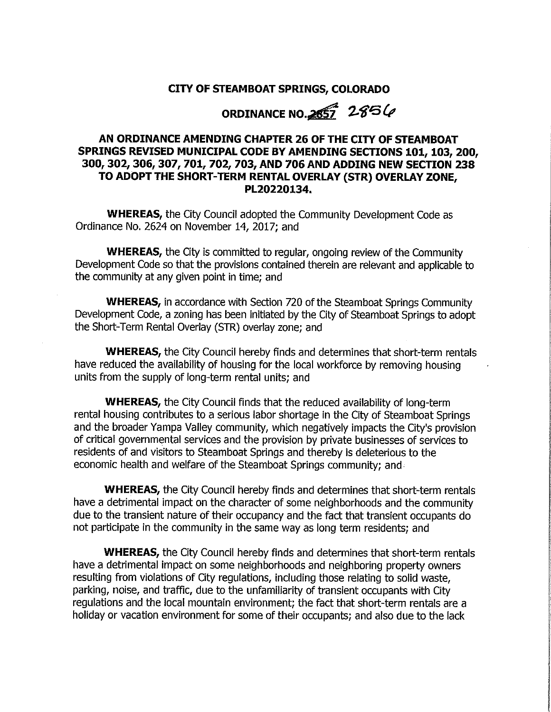### CITY OF STEAMBOAT SPRINGS, COLORADO

ORDINANCE NO. 2857 2856

### AN ORDINANCE AMENDING CHAPTER 26 OF THE CITY OF STEAMBOAT SPRINGS REVISED MUNICIPAL CODE BY AMENDING SECTIONS 101, 103, 200, 300, 302, 306, 307, 701, 702, 703, AND 706 AND ADDING NEW SECTION 238 TO ADOPT THE SHORT-TERM RENTAL OVERLAY (STR) OVERLAY ZONE. PL20220134.

**WHEREAS, the City Council adopted the Community Development Code as** Ordinance No. 2624 on November 14, 2017; and

**WHEREAS**, the City is committed to regular, ongoing review of the Community Development Code so that the provisions contained therein are relevant and applicable to the community at any given point in time; and

**WHEREAS, in accordance with Section 720 of the Steamboat Springs Community** Development Code, a zoning has been initiated by the City of Steamboat Springs to adopt the Short-Term Rental Overlay (STR) overlay zone; and

**WHEREAS, the City Council hereby finds and determines that short-term rentals** have reduced the availability of housing for the local workforce by removing housing units from the supply of long-term rental units; and

**WHEREAS, the City Council finds that the reduced availability of long-term** rental housing contributes to a serious labor shortage in the City of Steamboat Springs and the broader Yampa Valley community, which negatively impacts the City's provision of critical governmental services and the provision by private businesses of services to residents of and visitors to Steamboat Springs and thereby is deleterious to the economic health and welfare of the Steamboat Springs community; and

**WHEREAS**, the City Council hereby finds and determines that short-term rentals have a detrimental impact on the character of some neighborhoods and the community due to the transient nature of their occupancy and the fact that transient occupants do not participate in the community in the same way as long term residents; and

**WHEREAS,** the City Council hereby finds and determines that short-term rentals have a detrimental impact on some neighborhoods and neighboring property owners resulting from violations of City regulations, including those relating to solid waste, parking, noise, and traffic, due to the unfamiliarity of transient occupants with City regulations and the local mountain environment; the fact that short-term rentals are a holiday or vacation environment for some of their occupants; and also due to the lack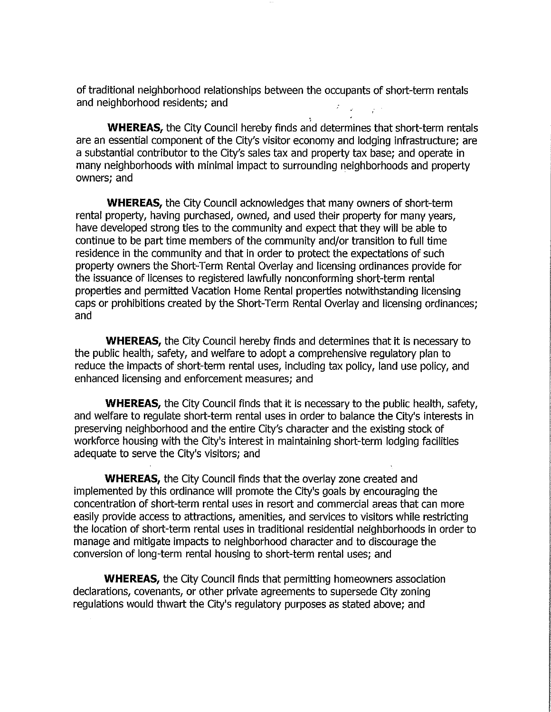of traditional neighborhood relationships between the occupants of short-term rentals and neighborhood residents; and

**WHEREAS, the City Council hereby finds and determines that short-term rentals** are an essential component of the City's visitor economy and lodging infrastructure; are a substantial contributor to the City's sales tax and property tax base; and operate in many neighborhoods with minimal impact to surrounding neighborhoods and property owners; and

**WHEREAS**, the City Council acknowledges that many owners of short-term rental property, having purchased, owned, and used their property for many years, have developed strong ties to the community and expect that they will be able to continue to be part time members of the community and/or transition to full time residence in the community and that in order to protect the expectations of such property owners the Short-Term Rental Overlay and licensing ordinances provide for the issuance of licenses to registered lawfully nonconforming short-term rental properties and permitted Vacation Home Rental properties notwithstanding licensing caps or prohibitions created by the Short-Term Rental Overlay and licensing ordinances: and

**WHEREAS**, the City Council hereby finds and determines that it is necessary to the public health; safety, and welfare to adopt a comprehensive requlatory plan to reduce the impacts of short-term rental uses, including tax policy, land use policy, and enhanced licensing and enforcement measures; and

**WHEREAS**, the City Council finds that it is necessary to the public health, safety, and welfare to regulate short-term rental uses in order to balance the City's interests in preserving neighborhood and the entire City's character and the existing stock of workforce housing with the City's interest in maintaining short-term lodging facilities adequate to serve the City's visitors; and

**WHEREAS, the City Council finds that the overlay zone created and** implemented by this ordinance will promote the City's goals by encouraging the concentration of short-term rental uses in resort and commercial areas that can more easily provide access to attractions, amenities, and services to visitors while restricting the location of short-term rental uses in traditional residential neighborhoods in order to manage and mitigate impacts to neighborhood character and to discourage the conversion of long-term rental housing to short-term rental uses; and

**WHEREAS, the City Council finds that permitting homeowners association** declarations, covenants, or other private agreements to supersede City zoning regulations would thwart the City's regulatory purposes as stated above; and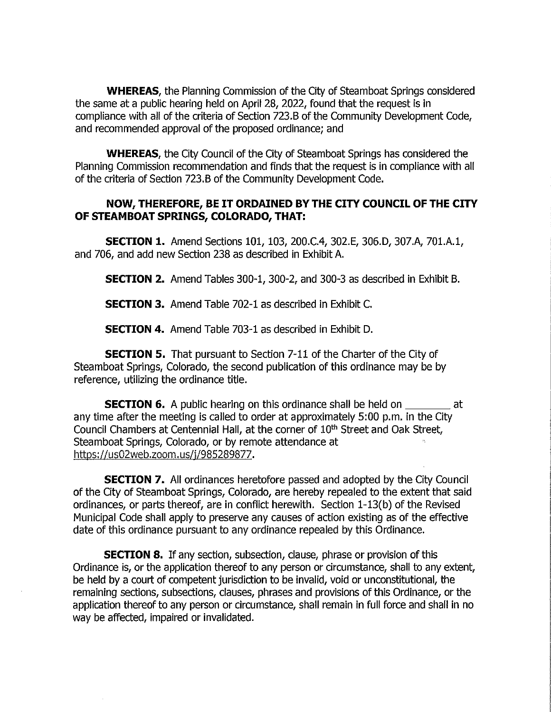**WHEREAS**, the Planning Commission of the City of Steamboat Springs considered the same at a public hearing held on April 28, 2022, found that the request is in compliance with all of the criteria of Section 723.B of the Community Development Code, and recommended approval of the proposed ordinance; and

**WHEREAS**, the City Council of the City of Steamboat Springs has considered the Planning Commission recommendation and finds that the request is in compliance with all of the criteria of Section 723.B of the Community Development Code.

### NOW, THEREFORE, BE IT ORDAINED BY THE CITY COUNCIL OF THE CITY OF STEAMBOAT SPRINGS, COLORADO, THAT:

**SECTION 1.** Amend Sections 101, 103, 200.C.4, 302.E, 306.D, 307.A, 701.A.1, and 706, and add new Section 238 as described in Exhibit A.

**SECTION 2.** Amend Tables 300-1, 300-2, and 300-3 as described in Exhibit B.

**SECTION 3.** Amend Table 702-1 as described in Exhibit C.

**SECTION 4.** Amend Table 703-1 as described in Exhibit D.

**SECTION 5.** That pursuant to Section 7-11 of the Charter of the City of Steamboat Springs, Colorado, the second publication of this ordinance may be by reference, utilizing the ordinance title.

**SECTION 6.** A public hearing on this ordinance shall be held on \_\_\_\_\_\_\_\_\_\_ at any time after the meeting is called to order at approximately 5:00 p.m. in the City Council Chambers at Centennial Hall, at the corner of 10<sup>th</sup> Street and Oak Street, Steamboat Springs, Colorado, or by remote attendance at https://us02web.zoom.us/j/985289877.

**SECTION 7.** All ordinances heretofore passed and adopted by the City Council of the City of Steamboat Springs, Colorado, are hereby repealed to the extent that said ordinances, or parts thereof, are in conflict herewith. Section 1-13(b) of the Revised Municipal Code shall apply to preserve any causes of action existing as of the effective date of this ordinance pursuant to any ordinance repealed by this Ordinance.

**SECTION 8.** If any section, subsection, clause, phrase or provision of this Ordinance is, or the application thereof to any person or circumstance, shall to any extent, be held by a court of competent jurisdiction to be invalid, void or unconstitutional, the remaining sections, subsections, clauses, phrases and provisions of this Ordinance, or the application thereof to any person or circumstance, shall remain in full force and shall in no way be affected, impaired or invalidated.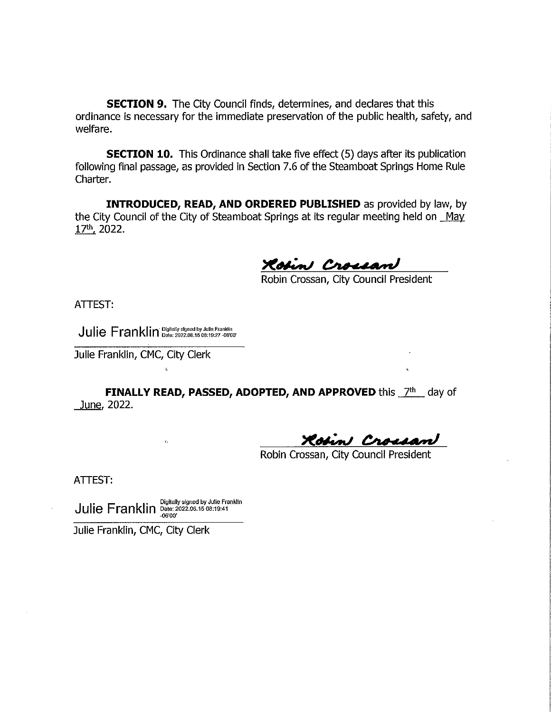**SECTION 9.** The City Council finds, determines, and declares that this ordinance is necessary for the immediate preservation of the public health, safety, and welfare.

**SECTION 10.** This Ordinance shall take five effect (5) days after its publication following final passage, as provided in Section 7.6 of the Steamboat Springs Home Rule Charter.

**INTRODUCED, READ, AND ORDERED PUBLISHED** as provided by law, by the City Council of the City of Steamboat Springs at its regular meeting held on May 17th, 2022.

Robin Crossan

Robin Crossan, City Council President

ATTEST:

Julie Franklin Digitally signed by Julie Franklin

Julie Franklin, CMC, City Clerk

FINALLY READ, PASSED, ADOPTED, AND APPROVED this 7th day of June, 2022.

in Crossan

Robin Crossan, City Council President

ATTEST:

 $\text{Julie} \; \mathsf{Franklin} \; \overset{\text{Digitally signed by Julie Franklin}}{\underset{_{\text{0600'}}}{\text{Data: 2022.06.15 08:19:41}}}$ 

 $\zeta_i$ 

Julie Franklin, CMC, City Clerk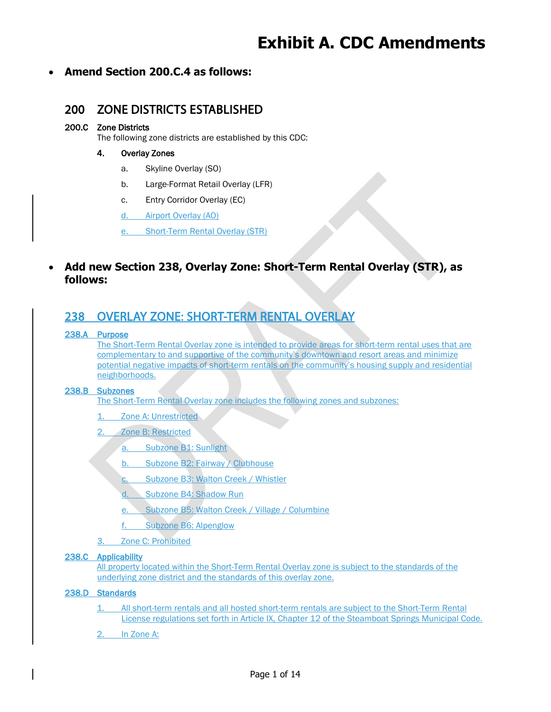## **Exhibit A. CDC Amendments**

### • **Amend Section 200.C.4 as follows:**

### 200 ZONE DISTRICTS ESTABLISHED

### 200.C Zone Districts

The following zone districts are established by this CDC:

### 4. Overlay Zones

- a. Skyline Overlay (SO)
- b. Large-Format Retail Overlay (LFR)
- c. Entry Corridor Overlay (EC)
- d. Airport Overlay (AO)

e. Short-Term Rental Overlay (STR)

### • **Add new Section 238, Overlay Zone: Short-Term Rental Overlay (STR), as follows:**

### 238 OVERLAY ZONE: SHORT-TERM RENTAL OVERLAY

### 238.A Purpose

The Short-Term Rental Overlay zone is intended to provide areas for short-term rental uses that are complementary to and supportive of the community's downtown and resort areas and minimize potential negative impacts of short-term rentals on the community's housing supply and residential neighborhoods.

### 238.B Subzones

The Short-Term Rental Overlay zone includes the following zones and subzones:

- 1. Zone A: Unrestricted
- 2. Zone B: Restricted
	- a. Subzone B1: Sunlight
	- b. Subzone B2: Fairway / Clubhouse
	- c. Subzone B3: Walton Creek / Whistler
	- d. Subzone B4: Shadow Run
	- e. Subzone B5: Walton Creek / Village / Columbine
	- f. Subzone B6: Alpenglow
- 3. Zone C: Prohibited

### 238.C Applicability

All property located within the Short-Term Rental Overlay zone is subject to the standards of the underlying zone district and the standards of this overlay zone.

### 238.D Standards

- 1. All short-term rentals and all hosted short-term rentals are subject to the Short-Term Rental License regulations set forth in Article IX, Chapter 12 of the Steamboat Springs Municipal Code.
- 2. In Zone A: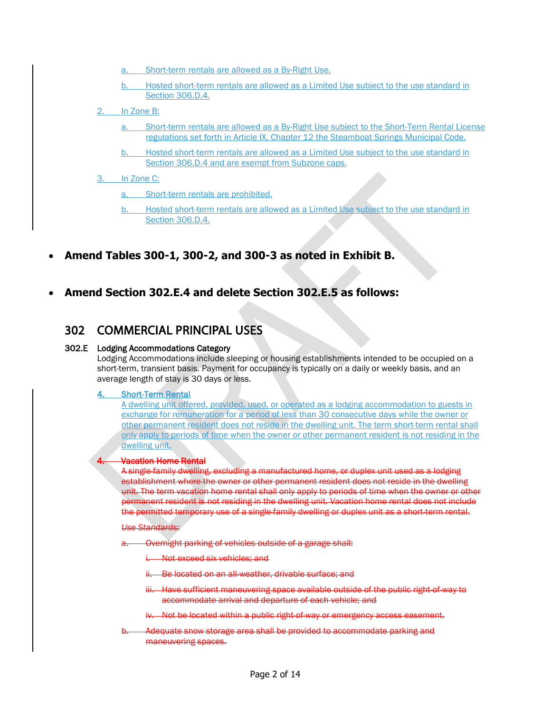- a. Short-term rentals are allowed as a By-Right Use.
- b. Hosted short-term rentals are allowed as a Limited Use subject to the use standard in Section 306.D.4.
- 2. In Zone B:
	- a. Short-term rentals are allowed as a By-Right Use subject to the Short-Term Rental License regulations set forth in Article IX, Chapter 12 the Steamboat Springs Municipal Code.
	- b. Hosted short-term rentals are allowed as a Limited Use subject to the use standard in Section 306.D.4 and are exempt from Subzone caps.
- 3. In Zone C:
	- a. Short-term rentals are prohibited.
	- b. Hosted short-term rentals are allowed as a Limited Use subject to the use standard in Section 306.D.4.
- **Amend Tables 300-1, 300-2, and 300-3 as noted in Exhibit B.**
- **Amend Section 302.E.4 and delete Section 302.E.5 as follows:**

### 302 COMMERCIAL PRINCIPAL USES

### 302.E Lodging Accommodations Category

Lodging Accommodations include sleeping or housing establishments intended to be occupied on a short-term, transient basis. Payment for occupancy is typically on a daily or weekly basis, and an average length of stay is 30 days or less.

### 4. Short-Term Rental

A dwelling unit offered, provided, used, or operated as a lodging accommodation to guests in exchange for remuneration for a period of less than 30 consecutive days while the owner or other permanent resident does not reside in the dwelling unit. The term short-term rental shall only apply to periods of time when the owner or other permanent resident is not residing in the dwelling unit.

### **Vacation Home Rental**

A single-family dwelling, excluding a manufactured home, or duplex unit used as a lodging establishment where the owner or other permanent resident does not reside in the dwelling unit. The term vacation home rental shall only apply to periods of time when the owner or other permanent resident is not residing in the dwelling unit. Vacation home rental does not include the permitted temporary use of a single-family dwelling or duplex unit as a short-term rental.

### *Use Standards:*

- **Overnight parking of vehicles outside of a garage shall:** 
	- i. Not exceed six vehicles; and
	- ii. Be located on an all-weather, drivable surface; and
	- Have sufficient maneuvering space available outside of the public right-of-way to accommodate arrival and departure of each vehicle; and
	- iv. Not be located within a public right of way or emergency access easement.
- b. Adequate snow storage area shall be provided to accommodate parking and maneuvering spaces.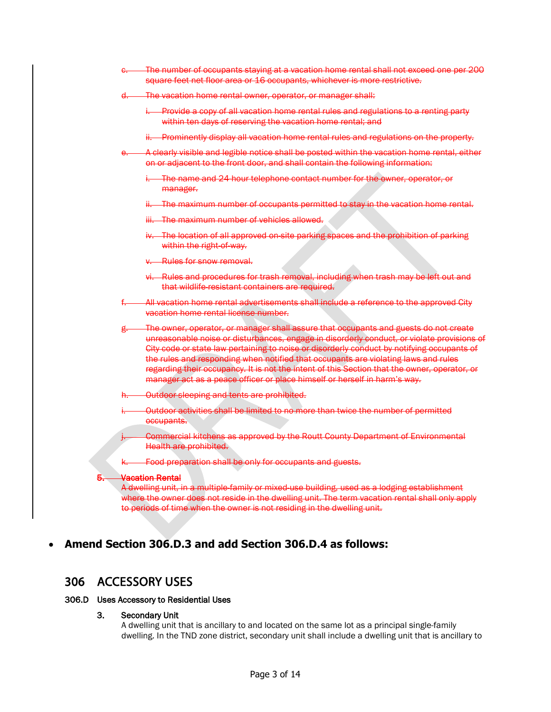| $\sim$ | The number of occupants staying at a vacation home rental shall not exceed one per 200                  |
|--------|---------------------------------------------------------------------------------------------------------|
|        | <del>c. — The number or occupants staying at a vacation nome rentarshall not exceed one per 200</del> . |
|        | square feet net floor area or 16 occupants, whichever is more restrictive.                              |

- The vacation home rental owner, operator, or manager shall:
	- i. Provide a copy of all vacation home rental rules and regulations to a renting party within ten days of reserving the vacation home rental; and
	- ii. Prominently display all vacation home rental rules and regulations on the property.
- A clearly visible and legible notice shall be posted within the vacation home rental, either on or adjacent to the front door, and shall contain the following information:
	- The name and 24-hour telephone contact number for the owner, operator, or manager.
	- The maximum number of occupants permitted to stay in the vacation home rental.
	- iii. The maximum number of vehicles allowed.
	- The location of all approved on-site parking spaces and the prohibition of parking within the right-of-way.
	- **Rules for snow removal.**
	- Rules and procedures for trash removal, including when trash may be left out and that wildlife-resistant containers are required.
- All vacation home rental advertisements shall include a reference to the approved City vacation home rental license number.
- The owner, operator, or manager shall assure that occupants and guests do not create unreasonable noise or disturbances, engage in disorderly conduct, or violate provisions of City code or state law pertaining to noise or disorderly conduct by notifying occupants of the rules and responding when notified that occupants are violating laws and rules regarding their occupancy. It is not the intent of this Section that the owner, operator, or manager act as a peace officer or place himself or herself in harm's way.
- Outdoor sleeping and tents are prohibited.
- i. Outdoor activities shall be limited to no more than twice the number of permitted occupants.
	- Commercial kitchens as approved by the Routt County Department of Environmental Health are prohibited.
- Food preparation shall be only for occupants and guests.

### **Vacation Rental**

A dwelling unit, in a multiple-family or mixed-use building, used as a lodging establishment where the owner does not reside in the dwelling unit. The term vacation rental shall only apply to periods of time when the owner is not residing in the dwelling unit.

### • **Amend Section 306.D.3 and add Section 306.D.4 as follows:**

### 306 ACCESSORY USES

### 306.D Uses Accessory to Residential Uses

3. Secondary Unit

A dwelling unit that is ancillary to and located on the same lot as a principal single-family dwelling. In the TND zone district, secondary unit shall include a dwelling unit that is ancillary to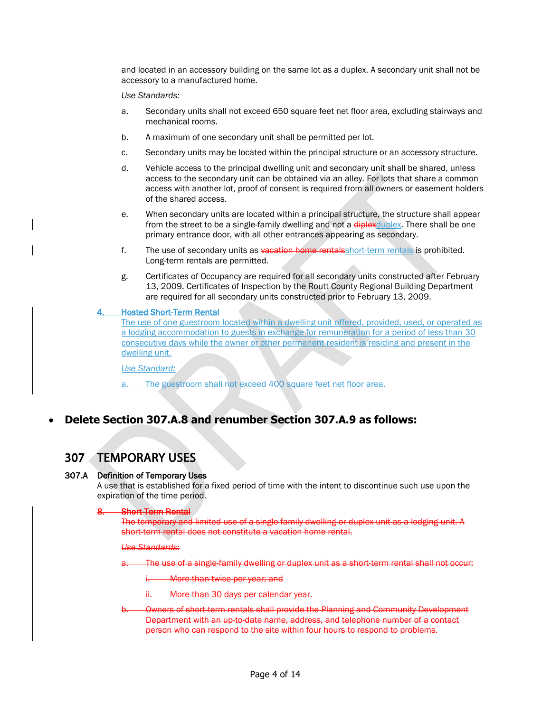and located in an accessory building on the same lot as a duplex. A secondary unit shall not be accessory to a manufactured home.

*Use Standards:*

- a. Secondary units shall not exceed 650 square feet net floor area, excluding stairways and mechanical rooms.
- b. A maximum of one secondary unit shall be permitted per lot.
- c. Secondary units may be located within the principal structure or an accessory structure.
- d. Vehicle access to the principal dwelling unit and secondary unit shall be shared, unless access to the secondary unit can be obtained via an alley. For lots that share a common access with another lot, proof of consent is required from all owners or easement holders of the shared access.
- e. When secondary units are located within a principal structure, the structure shall appear from the street to be a single-family dwelling and not a diplex duplex. There shall be one primary entrance door, with all other entrances appearing as secondary.
- f. The use of secondary units as vacation home rentalsshort-term rentals is prohibited. Long-term rentals are permitted.
- g. Certificates of Occupancy are required for all secondary units constructed after February 13, 2009. Certificates of Inspection by the Routt County Regional Building Department are required for all secondary units constructed prior to February 13, 2009.

### 4. Hosted Short-Term Rental

The use of one guestroom located within a dwelling unit offered, provided, used, or operated as a lodging accommodation to guests in exchange for remuneration for a period of less than 30 consecutive days while the owner or other permanent resident is residing and present in the dwelling unit.

*Use Standard:*

The guestroom shall not exceed 400 square feet net floor area.

### • **Delete Section 307.A.8 and renumber Section 307.A.9 as follows:**

### 307 TEMPORARY USES

### 307.A Definition of Temporary Uses

A use that is established for a fixed period of time with the intent to discontinue such use upon the expiration of the time period.

### **Short-Term Rental**

The temporary and limited use of a single-family dwelling or duplex unit as a lodging unit. A short-term rental does not constitute a vacation home rental.

### *Use Standards:*

The use of a single-family dwelling or duplex unit as a short-term rental shall not occur:

More than twice per year; and

More than 30 days per calendar year.

b. Owners of short-term rentals shall provide the Planning and Community Development Department with an up-to-date name, address, and telephone number of a contact person who can respond to the site within four hours to respond to problems.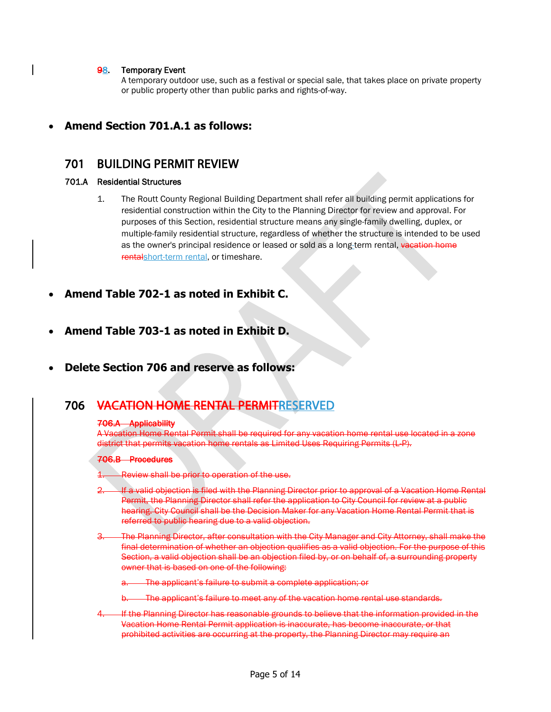### 98. Temporary Event

A temporary outdoor use, such as a festival or special sale, that takes place on private property or public property other than public parks and rights-of-way.

### • **Amend Section 701.A.1 as follows:**

### 701 BUILDING PERMIT REVIEW

### 701.A Residential Structures

- 1. The Routt County Regional Building Department shall refer all building permit applications for residential construction within the City to the Planning Director for review and approval. For purposes of this Section, residential structure means any single-family dwelling, duplex, or multiple-family residential structure, regardless of whether the structure is intended to be used as the owner's principal residence or leased or sold as a long-term rental, vacation home rentalshort-term rental, or timeshare.
- **Amend Table 702-1 as noted in Exhibit C.**
- **Amend Table 703-1 as noted in Exhibit D.**
- **Delete Section 706 and reserve as follows:**

### 706 VACATION HOME RENTAL PERMITRESERVED

### 706.A Applicability

A Vacation Home Rental Permit shall be required for any vacation home rental use located in a zone district that permits vacation home rentals as Limited Uses Requiring Permits (L-P).

### 706.B Procedures

Review shall be prior to operation of the use.

If a valid objection is filed with the Planning Director prior to approval of a Vacation Home Rental Permit, the Planning Director shall refer the application to City Council for review at a public hearing. City Council shall be the Decision Maker for any Vacation Home Rental Permit that is referred to public hearing due to a valid objection.

3. The Planning Director, after consultation with the City Manager and City Attorney, shall make the final determination of whether an objection qualifies as a valid objection. For the purpose of this Section, a valid objection shall be an objection filed by, or on behalf of, a surrounding property owner that is based on one of the following:

The applicant's failure to submit a complete application; or

The applicant's failure to meet any of the vacation home rental use standards.

If the Planning Director has reasonable grounds to believe that the information provided in the Vacation Home Rental Permit application is inaccurate, has become inaccurate, or that prohibited activities are occurring at the property, the Planning Director may require an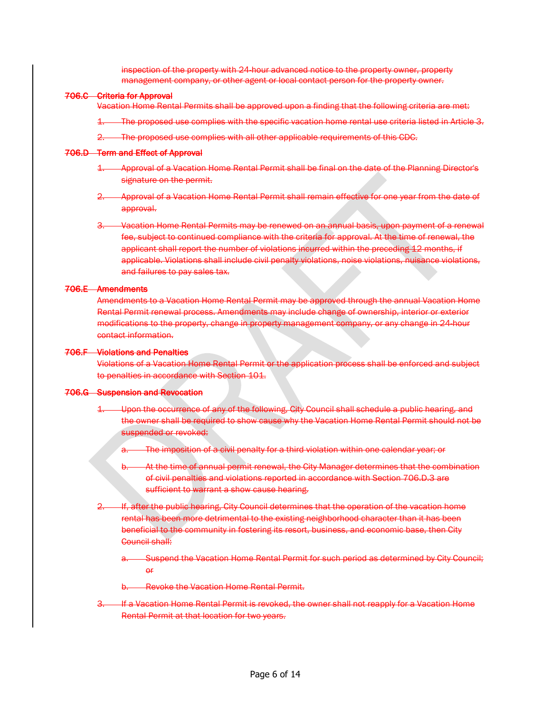inspection of the property with 24-hour advanced notice to the property owner, property management company, or other agent or local contact person for the property owner.

### 706.C Criteria for Approval

Vacation Home Rental Permits shall be approved upon a finding that the following criteria are met:

- 1. The proposed use complies with the specific vacation home rental use criteria listed in Article 3.
- 2. The proposed use complies with all other applicable requirements of this CDC.

### 706.D Term and Effect of Approval

- 1. Approval of a Vacation Home Rental Permit shall be final on the date of the Planning Director's signature on the permit.
- 2. Approval of a Vacation Home Rental Permit shall remain effective for one year from the date of approval.
- 3. Vacation Home Rental Permits may be renewed on an annual basis, upon payment of a renewal fee, subject to continued compliance with the criteria for approval. At the time of renewal, the applicant shall report the number of violations incurred within the preceding 12 months, if applicable. Violations shall include civil penalty violations, noise violations, nuisance violations, and failures to pay sales tax.

### 706.E Amendments

Amendments to a Vacation Home Rental Permit may be approved through the annual Vacation Home Rental Permit renewal process. Amendments may include change of ownership, interior or exterior modifications to the property, change in property management company, or any change in 24-hour contact information.

### 706.F Violations and Penalties

Violations of a Vacation Home Rental Permit or the application process shall be enforced and subject to penalties in accordance with Section 101.

### 706.G Suspension and Revocation

- Upon the occurrence of any of the following, City Council shall schedule a public hearing, and the owner shall be required to show cause why the Vacation Home Rental Permit should not be suspended or revoked:
	- a. The imposition of a civil penalty for a third violation within one calendar year; or
	- At the time of annual permit renewal, the City Manager determines that the combination of civil penalties and violations reported in accordance with Section 706.D.3 are sufficient to warrant a show cause hearing.
- 1f, after the public hearing, City Council determines that the operation of the vacation home rental has been more detrimental to the existing neighborhood character than it has been beneficial to the community in fostering its resort, business, and economic base, then City Council shall:
	- -Suspend the Vacation Home Rental Permit for such period as determined by City Council; or
	- **Revoke the Vacation Home Rental Permit.**
- If a Vacation Home Rental Permit is revoked, the owner shall not reapply for a Vacation Home Rental Permit at that location for two years.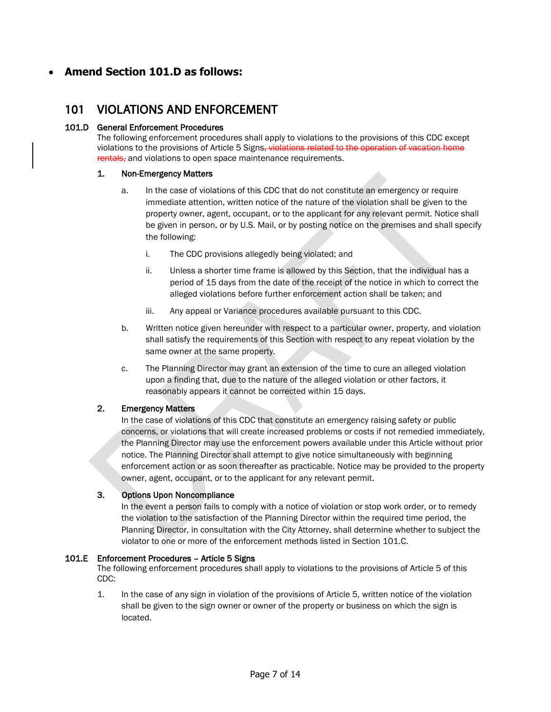### • **Amend Section 101.D as follows:**

### 101 VIOLATIONS AND ENFORCEMENT

### 101.D General Enforcement Procedures

The following enforcement procedures shall apply to violations to the provisions of this CDC except violations to the provisions of Article 5 Signs, violations related to the operation of vacation home rentals, and violations to open space maintenance requirements.

### 1. Non-Emergency Matters

- a. In the case of violations of this CDC that do not constitute an emergency or require immediate attention, written notice of the nature of the violation shall be given to the property owner, agent, occupant, or to the applicant for any relevant permit. Notice shall be given in person, or by U.S. Mail, or by posting notice on the premises and shall specify the following:
	- i. The CDC provisions allegedly being violated; and
	- ii. Unless a shorter time frame is allowed by this Section, that the individual has a period of 15 days from the date of the receipt of the notice in which to correct the alleged violations before further enforcement action shall be taken; and
	- iii. Any appeal or Variance procedures available pursuant to this CDC.
- b. Written notice given hereunder with respect to a particular owner, property, and violation shall satisfy the requirements of this Section with respect to any repeat violation by the same owner at the same property.
- c. The Planning Director may grant an extension of the time to cure an alleged violation upon a finding that, due to the nature of the alleged violation or other factors, it reasonably appears it cannot be corrected within 15 days.

### 2. Emergency Matters

In the case of violations of this CDC that constitute an emergency raising safety or public concerns, or violations that will create increased problems or costs if not remedied immediately, the Planning Director may use the enforcement powers available under this Article without prior notice. The Planning Director shall attempt to give notice simultaneously with beginning enforcement action or as soon thereafter as practicable. Notice may be provided to the property owner, agent, occupant, or to the applicant for any relevant permit.

### 3. Options Upon Noncompliance

In the event a person fails to comply with a notice of violation or stop work order, or to remedy the violation to the satisfaction of the Planning Director within the required time period, the Planning Director, in consultation with the City Attorney, shall determine whether to subject the violator to one or more of the enforcement methods listed in Section 101.C.

### 101.E Enforcement Procedures – Article 5 Signs

The following enforcement procedures shall apply to violations to the provisions of Article 5 of this CDC:

1. In the case of any sign in violation of the provisions of Article 5, written notice of the violation shall be given to the sign owner or owner of the property or business on which the sign is located.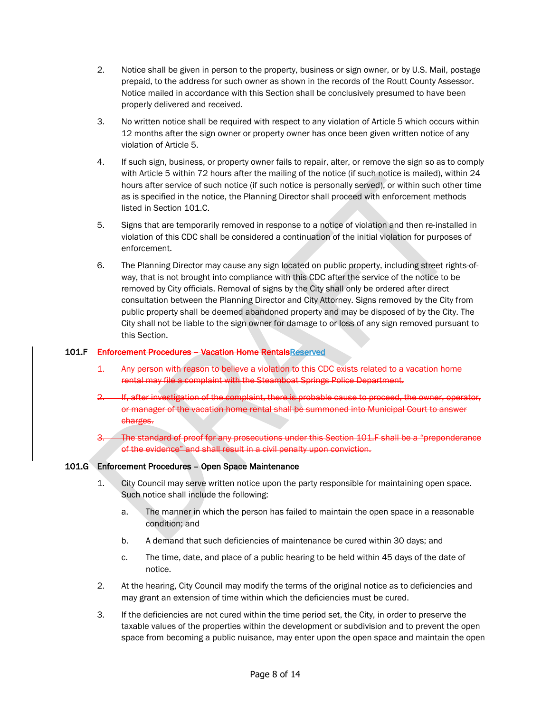- 2. Notice shall be given in person to the property, business or sign owner, or by U.S. Mail, postage prepaid, to the address for such owner as shown in the records of the Routt County Assessor. Notice mailed in accordance with this Section shall be conclusively presumed to have been properly delivered and received.
- 3. No written notice shall be required with respect to any violation of Article 5 which occurs within 12 months after the sign owner or property owner has once been given written notice of any violation of Article 5.
- 4. If such sign, business, or property owner fails to repair, alter, or remove the sign so as to comply with Article 5 within 72 hours after the mailing of the notice (if such notice is mailed), within 24 hours after service of such notice (if such notice is personally served), or within such other time as is specified in the notice, the Planning Director shall proceed with enforcement methods listed in Section 101.C.
- 5. Signs that are temporarily removed in response to a notice of violation and then re-installed in violation of this CDC shall be considered a continuation of the initial violation for purposes of enforcement.
- 6. The Planning Director may cause any sign located on public property, including street rights-ofway, that is not brought into compliance with this CDC after the service of the notice to be removed by City officials. Removal of signs by the City shall only be ordered after direct consultation between the Planning Director and City Attorney. Signs removed by the City from public property shall be deemed abandoned property and may be disposed of by the City. The City shall not be liable to the sign owner for damage to or loss of any sign removed pursuant to this Section.

### 101.F Enforcement Procedures – Vacation Home RentalsReserved

- 1. Any person with reason to believe a violation to this CDC exists related to a vacation home rental may file a complaint with the Steamboat Springs Police Department.
- If, after investigation of the complaint, there is probable cause to proceed, the owner, operator, or manager of the vacation home rental shall be summoned into Municipal Court to answer charges.
- The standard of proof for any prosecutions under this Section 101.F shall be a "preponderance" of the evidence" and shall result in a civil penalty upon conviction.

### 101.G Enforcement Procedures – Open Space Maintenance

- 1. City Council may serve written notice upon the party responsible for maintaining open space. Such notice shall include the following:
	- a. The manner in which the person has failed to maintain the open space in a reasonable condition; and
	- b. A demand that such deficiencies of maintenance be cured within 30 days; and
	- c. The time, date, and place of a public hearing to be held within 45 days of the date of notice.
- 2. At the hearing, City Council may modify the terms of the original notice as to deficiencies and may grant an extension of time within which the deficiencies must be cured.
- 3. If the deficiencies are not cured within the time period set, the City, in order to preserve the taxable values of the properties within the development or subdivision and to prevent the open space from becoming a public nuisance, may enter upon the open space and maintain the open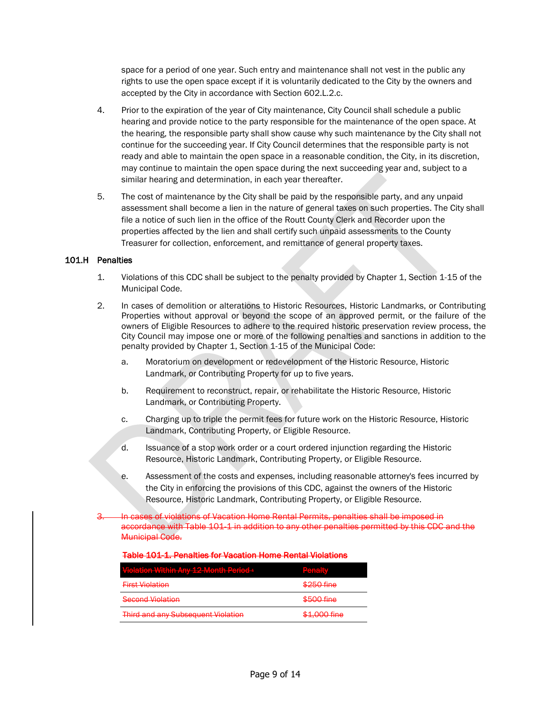space for a period of one year. Such entry and maintenance shall not vest in the public any rights to use the open space except if it is voluntarily dedicated to the City by the owners and accepted by the City in accordance with Section 602.L.2.c.

- 4. Prior to the expiration of the year of City maintenance, City Council shall schedule a public hearing and provide notice to the party responsible for the maintenance of the open space. At the hearing, the responsible party shall show cause why such maintenance by the City shall not continue for the succeeding year. If City Council determines that the responsible party is not ready and able to maintain the open space in a reasonable condition, the City, in its discretion, may continue to maintain the open space during the next succeeding year and, subject to a similar hearing and determination, in each year thereafter.
- 5. The cost of maintenance by the City shall be paid by the responsible party, and any unpaid assessment shall become a lien in the nature of general taxes on such properties. The City shall file a notice of such lien in the office of the Routt County Clerk and Recorder upon the properties affected by the lien and shall certify such unpaid assessments to the County Treasurer for collection, enforcement, and remittance of general property taxes.

### 101.H Penalties

- 1. Violations of this CDC shall be subject to the penalty provided by Chapter 1, Section 1-15 of the Municipal Code.
- 2. In cases of demolition or alterations to Historic Resources, Historic Landmarks, or Contributing Properties without approval or beyond the scope of an approved permit, or the failure of the owners of Eligible Resources to adhere to the required historic preservation review process, the City Council may impose one or more of the following penalties and sanctions in addition to the penalty provided by Chapter 1, Section 1-15 of the Municipal Code:
	- a. Moratorium on development or redevelopment of the Historic Resource, Historic Landmark, or Contributing Property for up to five years.
	- b. Requirement to reconstruct, repair, or rehabilitate the Historic Resource, Historic Landmark, or Contributing Property.
	- c. Charging up to triple the permit fees for future work on the Historic Resource, Historic Landmark, Contributing Property, or Eligible Resource.
	- d. Issuance of a stop work order or a court ordered injunction regarding the Historic Resource, Historic Landmark, Contributing Property, or Eligible Resource.
	- e. Assessment of the costs and expenses, including reasonable attorney's fees incurred by the City in enforcing the provisions of this CDC, against the owners of the Historic Resource, Historic Landmark, Contributing Property, or Eligible Resource.
- In cases of violations of Vacation Home Rental Permits, penalties shall be imposed in accordance with Table 101-1 in addition to any other penalties permitted by this CDC and the Municipal Code.

### Table 101-1. Penalties for Vacation Home Rental Violations

| <b>Violation Within Any 12 Month Period 4</b>          | <b>Donalty</b><br><b>LESSINGUIS</b>      |
|--------------------------------------------------------|------------------------------------------|
| <b>Eirct Violation</b><br><del>riist violation</del>   | \$250 fine                               |
| <b>Cocond Violation</b><br><del>occona violation</del> | $E_{\rm EOM}$ fine<br><del>oooomne</del> |
| <b>Third and any Subsequent Violation</b>              | \$1,000 fine                             |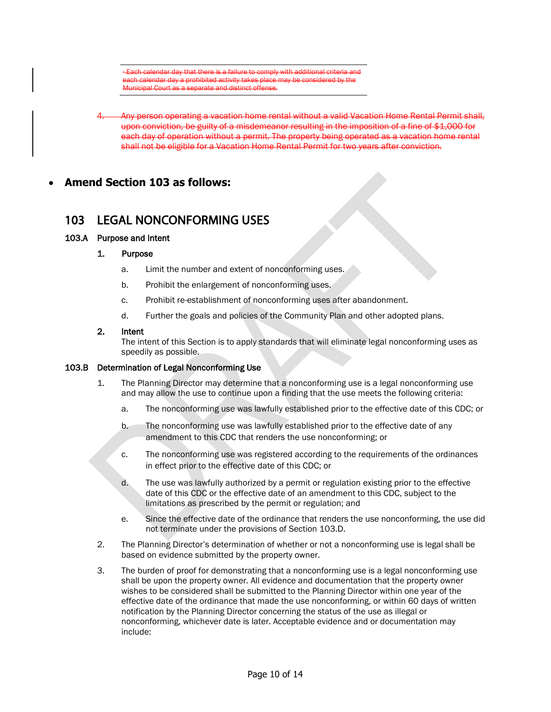$\pm$ Each calendar day that there is a failure to comply with additional criteria and each calendar day a prohibited activity takes place may be considered by the .<br>Municipal Court as

- 4. Any person operating a vacation home rental without a valid Vacation Home Rental Permit shall, upon conviction, be guilty of a misdemeanor resulting in the imposition of a fine of \$1,000 for each day of operation without a permit. The property being operated as a vacation home rental shall not be eligible for a Vacation Home Rental Permit for two years after conviction.
- **Amend Section 103 as follows:**

### 103 LEGAL NONCONFORMING USES

### 103.A Purpose and Intent

### 1. Purpose

- a. Limit the number and extent of nonconforming uses.
- b. Prohibit the enlargement of nonconforming uses.
- c. Prohibit re-establishment of nonconforming uses after abandonment.
- d. Further the goals and policies of the Community Plan and other adopted plans.

### 2. Intent

The intent of this Section is to apply standards that will eliminate legal nonconforming uses as speedily as possible.

### 103.B Determination of Legal Nonconforming Use

- 1. The Planning Director may determine that a nonconforming use is a legal nonconforming use and may allow the use to continue upon a finding that the use meets the following criteria:
	- a. The nonconforming use was lawfully established prior to the effective date of this CDC; or
	- b. The nonconforming use was lawfully established prior to the effective date of any amendment to this CDC that renders the use nonconforming; or
	- c. The nonconforming use was registered according to the requirements of the ordinances in effect prior to the effective date of this CDC; or
	- d. The use was lawfully authorized by a permit or regulation existing prior to the effective date of this CDC or the effective date of an amendment to this CDC, subject to the limitations as prescribed by the permit or regulation; and
	- e. Since the effective date of the ordinance that renders the use nonconforming, the use did not terminate under the provisions of Section 103.D.
- 2. The Planning Director's determination of whether or not a nonconforming use is legal shall be based on evidence submitted by the property owner.
- 3. The burden of proof for demonstrating that a nonconforming use is a legal nonconforming use shall be upon the property owner. All evidence and documentation that the property owner wishes to be considered shall be submitted to the Planning Director within one year of the effective date of the ordinance that made the use nonconforming, or within 60 days of written notification by the Planning Director concerning the status of the use as illegal or nonconforming, whichever date is later. Acceptable evidence and or documentation may include: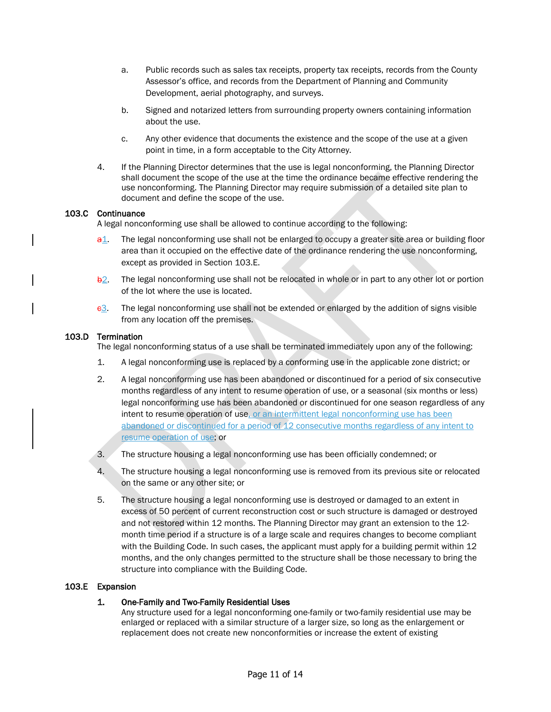- a. Public records such as sales tax receipts, property tax receipts, records from the County Assessor's office, and records from the Department of Planning and Community Development, aerial photography, and surveys.
- b. Signed and notarized letters from surrounding property owners containing information about the use.
- c. Any other evidence that documents the existence and the scope of the use at a given point in time, in a form acceptable to the City Attorney.
- 4. If the Planning Director determines that the use is legal nonconforming, the Planning Director shall document the scope of the use at the time the ordinance became effective rendering the use nonconforming. The Planning Director may require submission of a detailed site plan to document and define the scope of the use.

### 103.C Continuance

A legal nonconforming use shall be allowed to continue according to the following:

- $a1.$  The legal nonconforming use shall not be enlarged to occupy a greater site area or building floor area than it occupied on the effective date of the ordinance rendering the use nonconforming, except as provided in Section 103.E.
- $\frac{b2}{c}$ . The legal nonconforming use shall not be relocated in whole or in part to any other lot or portion of the lot where the use is located.
- $e3.$  The legal nonconforming use shall not be extended or enlarged by the addition of signs visible from any location off the premises.

### 103.D Termination

The legal nonconforming status of a use shall be terminated immediately upon any of the following:

- 1. A legal nonconforming use is replaced by a conforming use in the applicable zone district; or
- 2. A legal nonconforming use has been abandoned or discontinued for a period of six consecutive months regardless of any intent to resume operation of use, or a seasonal (six months or less) legal nonconforming use has been abandoned or discontinued for one season regardless of any intent to resume operation of use, or an intermittent legal nonconforming use has been abandoned or discontinued for a period of 12 consecutive months regardless of any intent to resume operation of use; or
- 3. The structure housing a legal nonconforming use has been officially condemned; or
- 4. The structure housing a legal nonconforming use is removed from its previous site or relocated on the same or any other site; or
- 5. The structure housing a legal nonconforming use is destroyed or damaged to an extent in excess of 50 percent of current reconstruction cost or such structure is damaged or destroyed and not restored within 12 months. The Planning Director may grant an extension to the 12 month time period if a structure is of a large scale and requires changes to become compliant with the Building Code. In such cases, the applicant must apply for a building permit within 12 months, and the only changes permitted to the structure shall be those necessary to bring the structure into compliance with the Building Code.

### 103.E Expansion

### 1. One-Family and Two-Family Residential Uses

Any structure used for a legal nonconforming one-family or two-family residential use may be enlarged or replaced with a similar structure of a larger size, so long as the enlargement or replacement does not create new nonconformities or increase the extent of existing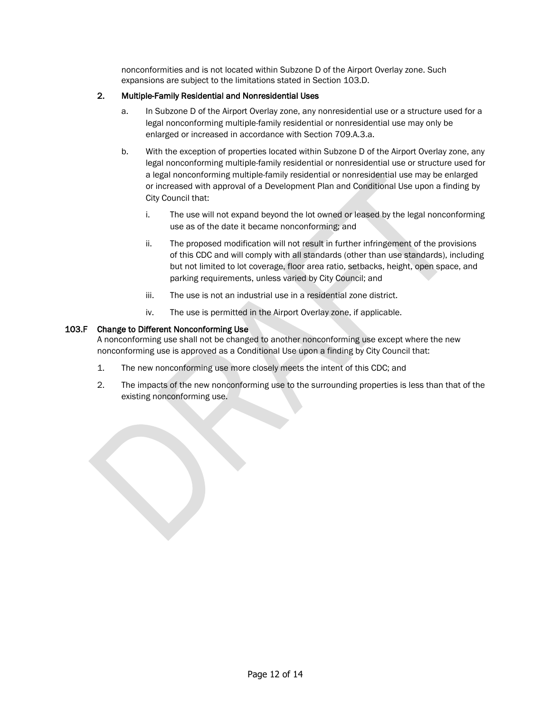nonconformities and is not located within Subzone D of the Airport Overlay zone. Such expansions are subject to the limitations stated in Section 103.D.

### 2. Multiple-Family Residential and Nonresidential Uses

- a. In Subzone D of the Airport Overlay zone, any nonresidential use or a structure used for a legal nonconforming multiple-family residential or nonresidential use may only be enlarged or increased in accordance with Section 709.A.3.a.
- b. With the exception of properties located within Subzone D of the Airport Overlay zone, any legal nonconforming multiple-family residential or nonresidential use or structure used for a legal nonconforming multiple-family residential or nonresidential use may be enlarged or increased with approval of a Development Plan and Conditional Use upon a finding by City Council that:
	- i. The use will not expand beyond the lot owned or leased by the legal nonconforming use as of the date it became nonconforming; and
	- ii. The proposed modification will not result in further infringement of the provisions of this CDC and will comply with all standards (other than use standards), including but not limited to lot coverage, floor area ratio, setbacks, height, open space, and parking requirements, unless varied by City Council; and
	- iii. The use is not an industrial use in a residential zone district.
	- iv. The use is permitted in the Airport Overlay zone, if applicable.

### 103.F Change to Different Nonconforming Use

A nonconforming use shall not be changed to another nonconforming use except where the new nonconforming use is approved as a Conditional Use upon a finding by City Council that:

- 1. The new nonconforming use more closely meets the intent of this CDC; and
- 2. The impacts of the new nonconforming use to the surrounding properties is less than that of the existing nonconforming use.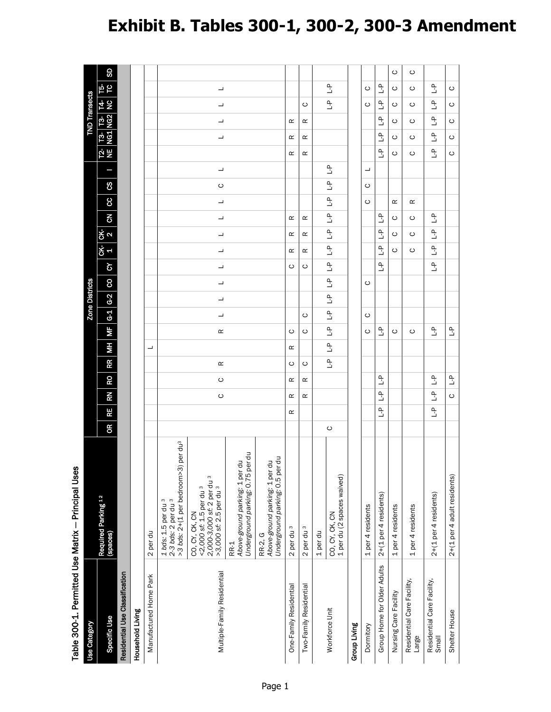# **Exhibit B. Tables 300-1, 300-2, 300-3 Amendment**

| Table 300-1. Permitted Use Matrix - Principal Uses |                                                                                                                        |           |                               |                          |                          |               |                          |               |                |                |                |                                            |                           |                |                |                           |               |                           |                      |              |                           |  |
|----------------------------------------------------|------------------------------------------------------------------------------------------------------------------------|-----------|-------------------------------|--------------------------|--------------------------|---------------|--------------------------|---------------|----------------|----------------|----------------|--------------------------------------------|---------------------------|----------------|----------------|---------------------------|---------------|---------------------------|----------------------|--------------|---------------------------|--|
| Use Category                                       |                                                                                                                        |           |                               |                          |                          |               |                          |               | Zone Districts |                |                |                                            |                           |                |                |                           |               |                           | <b>TND Transects</b> |              |                           |  |
| Specific Use                                       | Required Parking 12<br>(spaces)                                                                                        | <b>OR</b> | <b>RN</b><br>RE               | RO                       | <b>RR</b>                | $\frac{1}{2}$ | $\overline{\mathbf{M}}$  | $G-1$ $G-2$   |                | $\infty$       | ς              | ĞК<br>$\mathbf{a}$<br><u>ረ</u> ኛ<br>4      | $\overline{5}$            | 8              | 8              | Π                         | <u>한 뿐</u>    | <b>13-13-<br/>NG1 NG2</b> |                      | 년<br>오       | SD<br>ե<br>5              |  |
| Residential Use Classification                     |                                                                                                                        |           |                               |                          |                          |               |                          |               |                |                |                |                                            |                           |                |                |                           |               |                           |                      |              |                           |  |
| Household Living                                   |                                                                                                                        |           |                               |                          |                          |               |                          |               |                |                |                |                                            |                           |                |                |                           |               |                           |                      |              |                           |  |
| Manufactured Home Park                             | 2 per du                                                                                                               |           |                               |                          |                          | ┙             |                          |               |                |                |                |                                            |                           |                |                |                           |               |                           |                      |              |                           |  |
|                                                    | per du <sup>3</sup><br>>3 bds: 2+(1 per bedroom>3)<br>1 bds: 1.5 per du <sup>3</sup><br>2-3 bds: 2 per du <sup>3</sup> |           |                               |                          |                          |               |                          |               |                |                |                |                                            |                           |                |                |                           |               |                           |                      |              |                           |  |
| Multiple-Family Residential                        | 2,000-3,000 sf: 2 per du 3<br>>3,000 sf: 2.5 per du 3<br><2,000 sf: 1.5 per du 3<br>CO, CY, CK, CN                     |           | $\circ$                       | $\circ$                  | Œ                        |               | Œ                        | ┙             | ┙              | ┙              | ┙              | ┙<br>┙                                     | ┙                         | ┙              | $\circ$        | ┙                         |               | ┙                         | ┙                    | ┙            | $\overline{\phantom{a}}$  |  |
|                                                    | Above-ground parking: 1 per du<br>Underground parking: 0.75 per du<br>RR-1                                             |           |                               |                          |                          |               |                          |               |                |                |                |                                            |                           |                |                |                           |               |                           |                      |              |                           |  |
|                                                    | Above-ground parking: 1 per du<br>Underground parking: 0.5 per du<br>RR-2, G                                           |           |                               |                          |                          |               |                          |               |                |                |                |                                            |                           |                |                |                           |               |                           |                      |              |                           |  |
| One-Family Residential                             | 2 per du 3                                                                                                             |           | $\simeq$<br>œ                 | œ                        | $\circ$                  | œ             | $\circ$                  |               |                |                | $\circ$        | œ<br>œ                                     | œ                         |                |                |                           | $\simeq$      | œ                         | œ                    |              |                           |  |
| Two-Family Residential                             | 2 per du 3                                                                                                             |           | œ                             | œ                        | ပ                        |               | ပ                        | ပ             |                |                | ပ              | œ<br>œ                                     | œ                         |                |                |                           | œ             | œ                         | œ                    | ပ            |                           |  |
|                                                    | 1 per du                                                                                                               |           |                               |                          |                          |               |                          |               |                |                |                |                                            |                           |                |                |                           |               |                           |                      |              |                           |  |
| Workforce Unit                                     | 1 per du (2 spaces waived)<br>CO, CY, CK, CN                                                                           | $\circ$   |                               |                          | $\overline{\mathcal{L}}$ | $\mathbb{L}$  | $\overline{a}$           | $\frac{1}{2}$ | $\mathbb{L}^2$ | $\mathbb{L}^2$ | $\mathbb{L}^2$ | $\overline{\mathcal{L}}$<br>$\mathbb{L}^2$ | $\mathbb{L}$              | $\overline{a}$ | $\overline{a}$ | $\mathbb{L}^{\mathsf{D}}$ |               |                           |                      | $\mathbf{r}$ | ٩L                        |  |
| Group Living                                       |                                                                                                                        |           |                               |                          |                          |               |                          |               |                |                |                |                                            |                           |                |                |                           |               |                           |                      |              |                           |  |
| Dormitory                                          | 1 per 4 residents                                                                                                      |           |                               |                          |                          |               | ပ                        | ပ             |                | ပ              |                |                                            |                           | ပ              | ပ              | $\overline{\phantom{a}}$  |               |                           |                      | ပ            | ပ                         |  |
| Group Home for Older Adults                        | $2+(1$ per 4 residents)                                                                                                |           | $\mathbf{r}$<br>$\frac{a}{b}$ | Ľ                        |                          |               | $\mathbb{R}$             |               |                |                | $\tilde{a}$    | $\frac{\rho}{\Box}$<br>$\frac{\rho}{\Box}$ | Ľ                         |                |                |                           | $\frac{a}{b}$ | $\frac{a}{b}$             | $\frac{a}{b}$        | Ľ            | ٹ                         |  |
| Nursing Care Facility                              | 1 per 4 residents                                                                                                      |           |                               |                          |                          |               | O                        |               |                |                |                | ပ<br>ပ                                     | ပ                         | œ              |                |                           | ပ             | ပ                         | ပ                    | ပ            | O<br>ပ                    |  |
| Residential Care Facility,<br>Large                | 1 per 4 residents                                                                                                      |           |                               |                          |                          |               | ပ                        |               |                |                |                | ပ<br>ပ                                     | ပ                         | œ              |                |                           | ပ             | ပ                         | ပ                    | ပ            | ပ<br>ပ                    |  |
| Residential Care Facility,<br>Small                | $2+(1$ per 4 residents)                                                                                                |           | $\frac{a}{b}$<br>$\mathbb{L}$ | ٩                        |                          |               | $\tilde{\mathbb{F}}$     |               |                |                | م<br>ت         | $\overline{a}$<br>$\tilde{\mathcal{L}}$    | $\mathbb{L}^{\mathsf{D}}$ |                |                |                           | $\frac{1}{2}$ | $\frac{1}{2}$             | $\mathbb{R}$         | $\mathbb{L}$ | $\mathbb{L}^{\mathsf{D}}$ |  |
| Shelter House                                      | 2+(1 per 4 adult residents)                                                                                            |           | $\circ$                       | $\overline{\mathcal{L}}$ |                          |               | $\overline{\mathcal{L}}$ |               |                |                |                |                                            |                           |                |                |                           | O             | O                         | ပ                    | O            | O                         |  |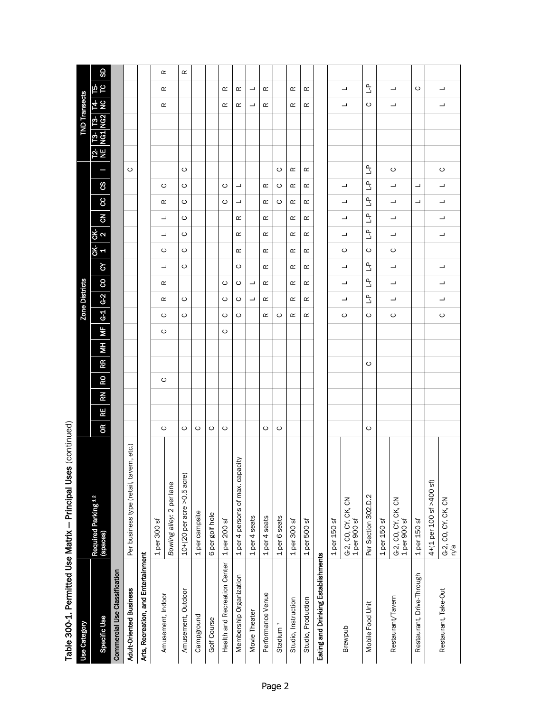|                                     | Table 300-1. Permitted Use Matrix — Principal Uses (continued) |                                       |                 |                               |         |                           |                           |              |          |                           |                           |                               |                      |    |                         |          |          |          |
|-------------------------------------|----------------------------------------------------------------|---------------------------------------|-----------------|-------------------------------|---------|---------------------------|---------------------------|--------------|----------|---------------------------|---------------------------|-------------------------------|----------------------|----|-------------------------|----------|----------|----------|
| <b>Use Category</b>                 |                                                                |                                       |                 |                               |         | Zone Districts            |                           |              |          |                           |                           |                               |                      |    | <b>TND Transects</b>    |          |          |          |
| Specific Use                        | Required Parking 12<br>(spaces)                                | ΚŊ<br>RE <sub>.</sub><br>$\mathbf{g}$ | <b>RR</b><br>RO | $\overline{\mathbf{z}}$<br>ĦМ |         | $G-1$ $G-2$               | 8                         | ς            | <u>ች</u> | _<br>გ<br>2               | $\overline{6}$            | 8<br>8                        |                      | 안분 | <b>13</b> 13<br>NG1 NG2 | 4 g      | ե<br>Ե   | <b>G</b> |
| Commercial Use Classification       |                                                                |                                       |                 |                               |         |                           |                           |              |          |                           |                           |                               |                      |    |                         |          |          |          |
| <b>Adult-Oriented Business</b>      | ern, etc.)<br>Per business type (retail, tav                   |                                       |                 |                               |         |                           |                           |              |          |                           |                           |                               | ပ                    |    |                         |          |          |          |
| Arts, Recreation, and Entertainment |                                                                |                                       |                 |                               |         |                           |                           |              |          |                           |                           |                               |                      |    |                         |          |          |          |
| Amusement, Indoor                   | $1$ per 300 sf                                                 | ပ                                     | ပ               | ပ                             | ပ       | œ                         | œ                         |              | ပ        | ┙                         | ┙                         | ပ<br>œ                        |                      |    |                         | $\simeq$ | œ        | œ        |
|                                     | Bowling alley: 2 per lane                                      |                                       |                 |                               |         |                           |                           | ┙            |          |                           |                           |                               |                      |    |                         |          |          |          |
| Amusement, Outdoor                  | $10+(20)$ per acre >0.5 acre)                                  | ပ                                     |                 |                               | ပ       | ပ                         |                           | ပ            | ပ        | ပ                         | ပ                         | ပ<br>ပ                        | ပ                    |    |                         |          |          | œ        |
| Campground                          | 1 per campsite                                                 | ပ                                     |                 |                               |         |                           |                           |              |          |                           |                           |                               |                      |    |                         |          |          |          |
| Golf Course                         | 6 per golf hole                                                | $\circ$                               |                 |                               |         |                           |                           |              |          |                           |                           |                               |                      |    |                         |          |          |          |
| <b>Health and Recreation Center</b> | $1per$ 200 sf                                                  | ပ                                     |                 | ပ                             | ပ       | ပ                         | ပ                         |              |          |                           |                           | ပ<br>ပ                        |                      |    |                         | œ        | œ        |          |
| Membership Organization             | 1 per 4 persons of max. capacity                               |                                       |                 |                               | ပ       | ပ                         | ပ                         | ပ            | œ        | œ                         | $\simeq$                  | ┙<br>┙                        |                      |    |                         | œ        | $\simeq$ |          |
| Movie Theater                       | 1 per 4 seats                                                  |                                       |                 |                               |         | ┙                         | ┙                         |              |          |                           |                           |                               |                      |    |                         | ┙        | ┙        |          |
| Performance Venue                   | 1 per 4 seats                                                  | ပ                                     |                 |                               | œ       | œ                         | œ                         | œ            | œ        | Œ                         | œ                         | $\propto$<br>œ                |                      |    |                         | œ        | œ        |          |
| Stadium <sup>7</sup>                | 1 per 6 seats                                                  | ပ                                     |                 |                               | ပ       |                           |                           |              |          |                           |                           | ပ<br>ပ                        | ပ                    |    |                         |          |          |          |
| Studio, Instruction                 | $1$ per 300 sf                                                 |                                       |                 |                               | œ       | œ                         | œ                         | œ            | œ        | œ                         | œ                         | Œ<br>Œ                        | œ                    |    |                         | œ        | œ        |          |
| Studio, Production                  | 1 per 500 sf                                                   |                                       |                 |                               | œ       | œ                         | œ                         | œ            | œ        | œ                         | œ                         | œ<br>œ                        | œ                    |    |                         | $\simeq$ | $\simeq$ |          |
| Eating and Drinking Establishments  |                                                                |                                       |                 |                               |         |                           |                           |              |          |                           |                           |                               |                      |    |                         |          |          |          |
|                                     | $1per 150$ sf                                                  |                                       |                 |                               |         |                           |                           |              |          |                           |                           |                               |                      |    |                         |          |          |          |
| Brewpub                             | G-2, CO, CY, CK, CN<br>1 per 900 sf                            |                                       |                 |                               | ပ       | ┙                         | ┙                         | ┙            | ပ        | ┙                         | ┙                         | ┙<br>┙                        |                      |    |                         | ┙        | ┙        |          |
| Mobile Food Unit                    | Per Section 302.D.2                                            | ပ                                     | ပ               |                               | ပ       | $\mathbb{L}^{\mathsf{D}}$ | $\mathbb{L}^{\mathsf{D}}$ | $\mathbb{L}$ | ပ        | $\mathbb{L}^{\mathsf{D}}$ | $\mathbb{L}^{\mathsf{D}}$ | ٩L<br>$\mathbb{L}$            | $\tilde{\mathbb{F}}$ |    |                         | ပ        | ᡱ        |          |
|                                     | $1per 150$ sf                                                  |                                       |                 |                               |         |                           |                           |              |          |                           |                           |                               |                      |    |                         |          |          |          |
| Restaurant/Tavern                   | G-2, CO, CY, CK, CN<br>1 per 900 sf                            |                                       |                 |                               | ပ       | ┙                         | ┙                         | ┙            | ပ        | ┙                         | ┙                         | ᆜ<br>┙                        | ပ                    |    |                         | ┙        | ┙        |          |
| Restaurant, Drive-Through           | $1$ per $150$ sf                                               |                                       |                 |                               |         |                           |                           |              |          |                           |                           | $\overline{\phantom{a}}$<br>┙ |                      |    |                         |          | ပ        |          |
|                                     | 4+(1 per 100 sf >400 sf)                                       |                                       |                 |                               |         |                           |                           |              |          |                           |                           |                               |                      |    |                         |          |          |          |
| Restaurant, Take-Out                | G-2, CO, CY, CK, CN<br>n/a                                     |                                       |                 |                               | $\circ$ | ┙                         | ┙                         | ┙            |          | ┙                         | ┙                         | ┙<br>┙                        | $\circ$              |    |                         | ┙        | ┙        |          |

Table 300-1. Permitted Use Matrix - Principal Uses (continued)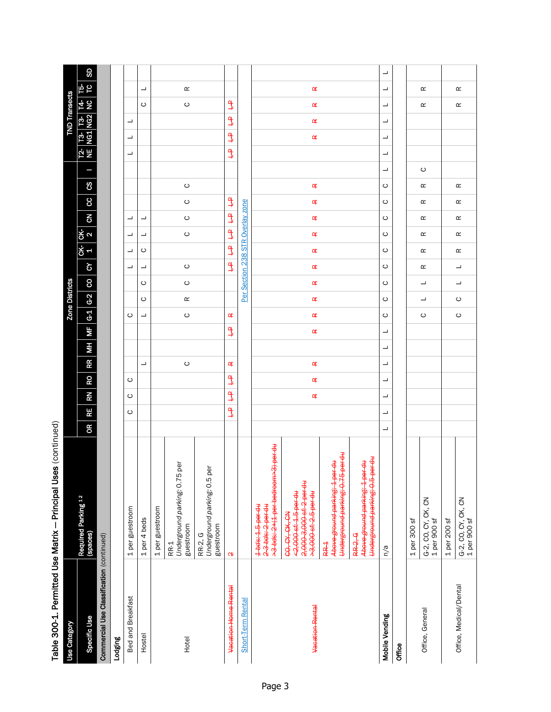|                                           | Table 300-1. Permitted Use Matrix - Principal Uses (continued)                               |   |               |                                    |           |          |                         |                       |                          |                          |               |                                |                          |                      |          |   |                          |                         |                          |                 |                          |    |
|-------------------------------------------|----------------------------------------------------------------------------------------------|---|---------------|------------------------------------|-----------|----------|-------------------------|-----------------------|--------------------------|--------------------------|---------------|--------------------------------|--------------------------|----------------------|----------|---|--------------------------|-------------------------|--------------------------|-----------------|--------------------------|----|
| <b>Use Category</b>                       |                                                                                              |   |               |                                    |           |          |                         | <b>Zone Districts</b> |                          |                          |               |                                |                          |                      |          |   |                          |                         | <b>TND Transects</b>     |                 |                          |    |
| Specific Use                              | Required Parking <sup>12</sup><br>(spaces)                                                   | Œ | RE            | RO<br>RN                           | <b>RR</b> | $\equiv$ | $\overline{\mathbf{z}}$ | $G-1$ $G-2$           |                          | $\infty$                 | ζÀ            | ር¥-<br>2<br>.<br>상<br>1        | $\overline{6}$           | <b>CC</b>            | 8        | Ξ | 일                        | <b>13</b> 13<br>NG1 NG2 |                          | <u>4일</u>       | ե<br>Ե                   | SD |
| Commercial Use Classification (continued) |                                                                                              |   |               |                                    |           |          |                         |                       |                          |                          |               |                                |                          |                      |          |   |                          |                         |                          |                 |                          |    |
| <b>Lodging</b>                            |                                                                                              |   |               |                                    |           |          |                         |                       |                          |                          |               |                                |                          |                      |          |   |                          |                         |                          |                 |                          |    |
| Bed and Breakfast                         | 1 per guestroom                                                                              |   | ပ             | ပ<br>ပ                             |           |          |                         | ပ                     |                          |                          | ᆜ             | ᆜ<br>ᆜ                         | $\overline{\phantom{a}}$ |                      |          |   | $\overline{\phantom{a}}$ | ᆜ                       | $\overline{\phantom{a}}$ |                 |                          |    |
| Hostel                                    | 1 per 4 beds                                                                                 |   |               |                                    | ┙         |          |                         | ┙                     | ပ                        | ပ                        | ┙             | ┙<br>ပ                         | ┙                        |                      |          |   |                          |                         |                          | ပ               | $\overline{\phantom{a}}$ |    |
|                                           | 1 per guestroom                                                                              |   |               |                                    |           |          |                         |                       |                          |                          |               |                                |                          |                      |          |   |                          |                         |                          |                 |                          |    |
| Hotel                                     | Underground parking: 0.75 per<br>guestroom<br>RR-1                                           |   |               |                                    | $\circ$   |          |                         | $\circ$               | $\simeq$                 | $\circ$                  | $\circ$       | $\circ$                        | $\circ$                  | $\circ$              | $\circ$  |   |                          |                         |                          | $\circ$         | $\simeq$                 |    |
|                                           | Underground parking: 0.5 per<br>guestroom<br>RR-2, G                                         |   |               |                                    |           |          |                         |                       |                          |                          |               |                                |                          |                      |          |   |                          |                         |                          |                 |                          |    |
| Vacation Home Rental                      | <b>CN</b>                                                                                    |   | $\frac{9}{4}$ | $\frac{a}{\pm}$<br>$\frac{a}{\pm}$ | ≃         |          | $\frac{\alpha}{\pi}$    | ≃                     |                          |                          | $\frac{9}{4}$ | $\frac{9}{4}$<br>$\frac{9}{4}$ | $\frac{a}{\pi}$          | $\frac{\alpha}{\pi}$ |          |   | $\frac{a}{\pi}$          | $\frac{a}{\pm}$         | $\frac{a}{\pm}$          | $\frac{a}{\pm}$ |                          |    |
| Short-Term Rental                         |                                                                                              |   |               |                                    |           |          |                         |                       |                          | Per Section 238          |               | <b>STR</b>                     | Overlay zone             |                      |          |   |                          |                         |                          |                 |                          |    |
|                                           | >3 bds: 2+(1 per bedroom>3) per du<br>1-bds: 1.5-per du<br>2-3 bds: 2 per du                 |   |               |                                    |           |          |                         |                       |                          |                          |               |                                |                          |                      |          |   |                          |                         |                          |                 |                          |    |
| Vacation Rental                           | 2,000-3,000-sf: 2 per du<br><2,000 sf: 1.5 per du<br>>3,000 sf: 2.5 per du<br>CO, CY, CK, CN |   |               | œ<br>¢                             | ¢         |          | ¢                       | œ                     | ¢                        | œ                        | ¢             | ¢<br>œ                         | ¢                        | ¢                    | ¢        |   |                          | ¢                       | ¢                        | ¢               | ¢                        |    |
|                                           | Underground parking: 0.75 per du<br>Above-ground parking: 1 per du<br>RR-1                   |   |               |                                    |           |          |                         |                       |                          |                          |               |                                |                          |                      |          |   |                          |                         |                          |                 |                          |    |
|                                           | Underground parking: 0.5 per du<br>Above ground parking: 1 per du<br><b>RR-2-6</b>           |   |               |                                    |           |          |                         |                       |                          |                          |               |                                |                          |                      |          |   |                          |                         |                          |                 |                          |    |
| Mobile Vending                            | n/a                                                                                          | ┙ | ┙             | ┙<br>┙                             | ┙         | ┙        | ┙                       | ပ                     | ပ                        | ပ                        | ပ             | ပ<br>ပ                         | ပ                        | ပ                    | ပ        | ┙ | ┙                        | ┙                       | ┙                        | ┙               | ┙                        | ᆜ  |
| Office                                    |                                                                                              |   |               |                                    |           |          |                         |                       |                          |                          |               |                                |                          |                      |          |   |                          |                         |                          |                 |                          |    |
|                                           | $1per$ 300 sf                                                                                |   |               |                                    |           |          |                         |                       |                          |                          |               |                                |                          |                      |          |   |                          |                         |                          |                 |                          |    |
| Office, General                           | G-2, CO, CY, CK, CN<br>1 per 900 sf                                                          |   |               |                                    |           |          |                         | ပ                     | $\overline{\phantom{a}}$ | ┙                        | œ             | œ<br>$\simeq$                  | œ                        | œ                    | œ        | ပ |                          |                         |                          | œ               | $\simeq$                 |    |
|                                           | 1 per 200 sf                                                                                 |   |               |                                    |           |          |                         |                       |                          |                          |               |                                |                          |                      |          |   |                          |                         |                          |                 |                          |    |
| Office, Medical/Dental                    | G-2, CO, CY, CK, CN<br>1 per 900 sf                                                          |   |               |                                    |           |          |                         | $\circ$               | $\circ$                  | $\overline{\phantom{a}}$ | ┙             | œ<br>œ                         | œ                        | œ                    | $\simeq$ |   |                          |                         |                          | œ               | $\simeq$                 |    |

# Table 300-1. Permitted Use Matrix - Principal Uses (continued)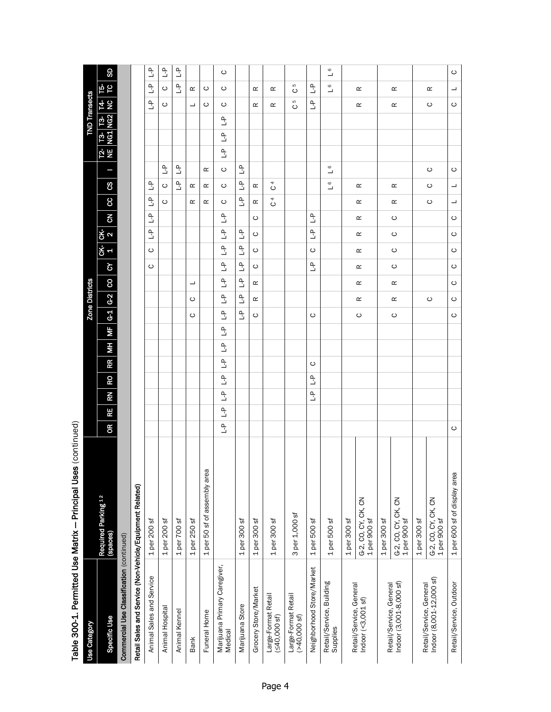| Table 300-1. Permitted Use Matrix - Principal Uses | <b>Use Category</b>   | Specific Use                    | Commercial Use Classification (continued) | Retail Sales and Service (Non-Vehicle/Equipment Related) | Animal Sales and Service       | Animal Hospital                      | Animal Kennel                                    | <b>Bank</b>  | Funeral Home                 | Marijuana Primary Caregiver,<br>Medical   | Marijuana Store                           | Grocery Store/Market | Large-Format Retail<br>(540,000 sf) | Large-Format Retail<br>(>40,000 sf) | Neighborhood Store/Market | Retail/Service, Building<br>Supplies |              | Retail/Service, General<br>Indoor (<3,001 sf) |               | Indoor (3,001-8,000 sf)<br>Retail/Service, General |              | Retail/Service, General<br>Indoor (8,001-12,000 sf) | Retail/Service, Outdoor      |
|----------------------------------------------------|-----------------------|---------------------------------|-------------------------------------------|----------------------------------------------------------|--------------------------------|--------------------------------------|--------------------------------------------------|--------------|------------------------------|-------------------------------------------|-------------------------------------------|----------------------|-------------------------------------|-------------------------------------|---------------------------|--------------------------------------|--------------|-----------------------------------------------|---------------|----------------------------------------------------|--------------|-----------------------------------------------------|------------------------------|
| (continued)                                        |                       | Required Parking 12<br>(spaces) |                                           |                                                          | 1 per 200 sf                   | 1 per 200 sf                         | 1 per 700 sf                                     | 1 per 250 sf | 1 per 50 sf of assembly area |                                           | 1 per 300 sf                              | 1 per 300 sf         | $1per$ 300 sf                       | 3 per 1,000 sf                      | 1 per 500 sf              | 1 per 500 sf                         | 1 per 300 sf | G-2, CO, CY, CK, CN<br>1 per 900 sf           | $1per 300$ sf | G-2, CO, CY, CK, CN<br>1 per 900 sf                | 1 per 300 sf | G-2, CO, CY, CK, CN<br>1 per 900 sf                 | 1 per 600 sf of display area |
|                                                    |                       | œ                               |                                           |                                                          |                                |                                      |                                                  |              |                              | $\mathbb{L}^{\mathsf{D}}$                 |                                           |                      |                                     |                                     |                           |                                      |              |                                               |               |                                                    |              |                                                     | $\circ$                      |
|                                                    |                       | RN<br>RE                        |                                           |                                                          |                                |                                      |                                                  |              |                              | $\mathbb{L}^{\mathsf{D}}$<br>$\mathbf{r}$ |                                           |                      |                                     |                                     | $\tilde{a}$               |                                      |              |                                               |               |                                                    |              |                                                     |                              |
|                                                    |                       | œ                               |                                           |                                                          |                                |                                      |                                                  |              |                              | $\mathbf{r}$                              |                                           |                      |                                     |                                     | $\mathbf{r}$              |                                      |              |                                               |               |                                                    |              |                                                     |                              |
|                                                    |                       | RR                              |                                           |                                                          |                                |                                      |                                                  |              |                              | $\mathbb{L}^{\mathsf{D}}$                 |                                           |                      |                                     |                                     | $\circ$                   |                                      |              |                                               |               |                                                    |              |                                                     |                              |
|                                                    |                       | ΗM                              |                                           |                                                          |                                |                                      |                                                  |              |                              | $\mathbf{r}$                              |                                           |                      |                                     |                                     |                           |                                      |              |                                               |               |                                                    |              |                                                     |                              |
|                                                    |                       | ΜF                              |                                           |                                                          |                                |                                      |                                                  |              |                              | $\mathbb{L}^{\mathsf{D}}$                 |                                           |                      |                                     |                                     |                           |                                      |              |                                               |               |                                                    |              |                                                     |                              |
|                                                    | <b>Zone Districts</b> | $G-2$<br>$\overline{G}$         |                                           |                                                          |                                |                                      |                                                  | ပ<br>ပ       |                              | $\mathbf{r}$<br>$\mathbf{r}$              | $\mathbb{L}$                              | œ<br>ပ               |                                     |                                     | ပ                         |                                      |              | $\simeq$<br>ပ                                 |               | œ<br>$\circ$                                       |              | ပ                                                   | $\circ$                      |
|                                                    |                       | 8                               |                                           |                                                          |                                |                                      |                                                  |              |                              | $\mathbf{r}$                              | $\mathbb{L}^{\mathsf{D}}$<br>$\mathbb{L}$ | œ                    |                                     |                                     |                           |                                      |              | $\simeq$                                      |               | $\simeq$                                           |              |                                                     | $\circ$<br>$\circ$           |
|                                                    |                       | $\mathfrak{S}$                  |                                           |                                                          | ပ                              |                                      |                                                  |              |                              | $\mathbf{r}$                              | $\mathbb{L}^{\mathsf{D}}$                 | ပ                    |                                     |                                     | $\mathbf{r}$              |                                      |              | $\simeq$                                      |               | $\circ$                                            |              |                                                     | $\circ$                      |
|                                                    |                       | <u>ረ</u> ት                      |                                           |                                                          | ပ                              |                                      |                                                  |              |                              | $\mathbf{r}$                              | $\mathbb{L}^{\mathsf{D}}$                 | ပ                    |                                     |                                     | $\circ$                   |                                      |              | $\simeq$                                      |               | $\circ$                                            |              |                                                     | $\circ$                      |
|                                                    |                       | ჭ<br>ვ                          |                                           |                                                          | $\frac{1}{2}$                  |                                      |                                                  |              |                              | $\mathbf{r}$                              | $\mathbb{L}^{\mathsf{D}}$                 | ပ                    |                                     |                                     | $\mathbb{L}$              |                                      |              | $\simeq$                                      |               | $\circ$                                            |              |                                                     | $\circ$                      |
|                                                    |                       | $\overline{6}$                  |                                           |                                                          | $\frac{\rho}{\Box}$            |                                      |                                                  |              |                              | $\mathbf{r}$                              |                                           | ပ                    |                                     |                                     | $\mathbf{r}$              |                                      |              | œ                                             |               | $\circ$                                            |              |                                                     | $\circ$                      |
|                                                    |                       | 8                               |                                           |                                                          | $\frac{\rho}{\Box}$            | ပ                                    |                                                  | œ            | œ                            | ပ                                         | $\tilde{\mathbb{F}}$                      | œ                    | 4<br>$\circ$                        |                                     |                           |                                      |              | œ                                             |               | œ                                                  |              | ပ                                                   | ┙                            |
|                                                    |                       | ფ                               |                                           |                                                          | Ľ                              | ပ                                    | $\overline{a}$                                   | œ            | œ                            | ပ                                         | $\mathbb{L}^{\mathsf{D}}$                 | œ                    | 4<br>$\circ$                        |                                     |                           | $\mathbf{\circ}$<br>┙                |              | œ                                             |               | œ                                                  |              | ပ                                                   | ┙                            |
|                                                    |                       |                                 |                                           |                                                          |                                | ٩J                                   | $\mathbb{L}^{\mathsf{D}}$                        |              | $\propto$                    | C                                         | $\mathbb{L}^{\mathsf{D}}$                 |                      |                                     |                                     |                           | $\mathbf{\circ}$<br>┙                |              |                                               |               |                                                    |              | ပ                                                   | $\circ$                      |
|                                                    |                       | 인<br>은                          |                                           |                                                          |                                |                                      |                                                  |              |                              | $\mathbf{r}$                              |                                           |                      |                                     |                                     |                           |                                      |              |                                               |               |                                                    |              |                                                     |                              |
|                                                    |                       | <b>13</b> 13<br>NG1 NG2         |                                           |                                                          |                                |                                      |                                                  |              |                              | $\mathbf{r}$                              |                                           |                      |                                     |                                     |                           |                                      |              |                                               |               |                                                    |              |                                                     |                              |
|                                                    | <b>TND Transects</b>  |                                 |                                           |                                                          |                                |                                      |                                                  |              |                              | $\mathbf{r}$                              |                                           |                      |                                     | ပ                                   |                           |                                      |              |                                               |               |                                                    |              |                                                     |                              |
|                                                    |                       | ե 5<br>5 z                      |                                           |                                                          | $\frac{a}{b}$                  | ပ                                    |                                                  | ┙            | ပ                            | ပ                                         |                                           | œ                    | œ                                   | ပ<br>S                              | $\frac{\rho}{\Box}$       | ┙                                    |              | $\simeq$                                      |               | œ                                                  |              | ပ                                                   | $\circ$                      |
|                                                    |                       | SD                              |                                           |                                                          | $\frac{1}{2}$<br>$\frac{1}{2}$ | $\mathbb{L}^{\mathsf{D}}$<br>$\circ$ | $\mathop{\mathsf{L}}\nolimits$<br>$\overline{a}$ | œ            | ပ                            | ပ<br>ပ                                    |                                           | œ                    | œ                                   | Б                                   | $\frac{\rho}{\Box}$       | ┙<br>$\circ$                         |              | œ                                             |               | œ                                                  |              | œ                                                   | ┙                            |
|                                                    |                       |                                 |                                           |                                                          |                                |                                      |                                                  |              |                              |                                           |                                           |                      |                                     |                                     |                           | $\mathbf{\circ}$                     |              |                                               |               |                                                    |              |                                                     | $\circ$                      |

Principal Uses (continued) Table 300-1. Permitted Use Matrix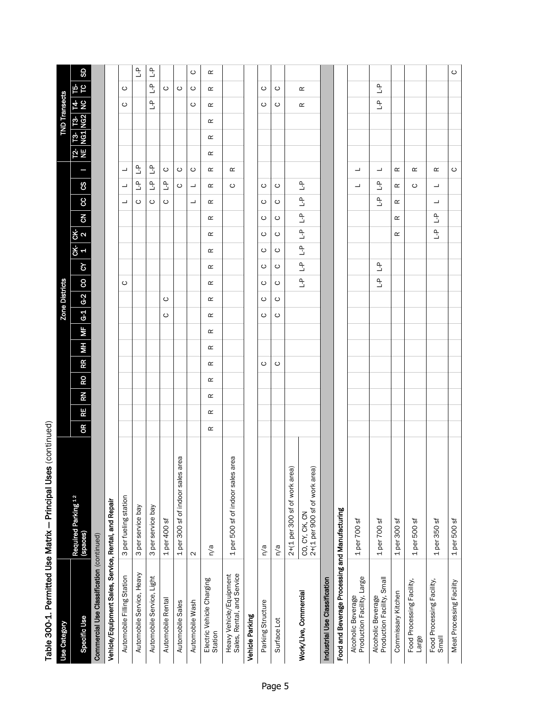| Table 300-1. Permitted Use Matrix - Principal Uses    | (continued)                                     |               |    |                 |          |       |                         |                                     |          |                     |                                              |                |                      |                  |                           |                     |          |   |                                           |                      |                          |                     |
|-------------------------------------------------------|-------------------------------------------------|---------------|----|-----------------|----------|-------|-------------------------|-------------------------------------|----------|---------------------|----------------------------------------------|----------------|----------------------|------------------|---------------------------|---------------------|----------|---|-------------------------------------------|----------------------|--------------------------|---------------------|
| <b>Use Category</b>                                   |                                                 |               |    |                 |          |       |                         | Zone Districts                      |          |                     |                                              |                |                      |                  |                           |                     |          |   |                                           | <b>TND Transects</b> |                          |                     |
| Specific Use                                          | Required Parking <sup>12</sup><br>(spaces)      | RE<br>8       | RN | RO <sub>I</sub> |          | RR MH | $\overline{\mathbf{r}}$ | $G-1$ $G-2$ $\circ$ $\circ$ $\circ$ |          |                     | $\frac{1}{6}$                                | 8 <sup>2</sup> |                      | $\frac{1}{2}$ cc | ვ                         | E                   |          |   | $\frac{12}{12}$ 13 13 14<br>NE NG1 NG2 NC |                      | ե<br>Ե                   | <b>GD</b>           |
| Commercial Use Classification (continued)             |                                                 |               |    |                 |          |       |                         |                                     |          |                     |                                              |                |                      |                  |                           |                     |          |   |                                           |                      |                          |                     |
| Vehicle/Equipment Sales, Service, Rental, and Repair  |                                                 |               |    |                 |          |       |                         |                                     |          |                     |                                              |                |                      |                  |                           |                     |          |   |                                           |                      |                          |                     |
| Automobile Filling Station                            | 3 per fueling station                           |               |    |                 |          |       |                         |                                     |          | $\circ$             |                                              |                |                      | ┙                | ┙                         | ┙                   |          |   |                                           | ပ                    | $\circ$                  |                     |
| Automobile Service, Heavy                             | 3 per service bay                               |               |    |                 |          |       |                         |                                     |          |                     |                                              |                |                      | $\circ$          | $\tilde{\mathbb{F}}$      | Ľ                   |          |   |                                           |                      |                          | $\mathbb{L}$        |
| Automobile Service, Light                             | 3 per service bay                               |               |    |                 |          |       |                         |                                     |          |                     |                                              |                |                      | $\circ$          | $\mathbb{L}^{\mathsf{D}}$ | $\frac{\rho}{\Box}$ |          |   |                                           | $\frac{\rho}{\Box}$  | $\frac{\rho}{\Box}$      | $\frac{\rho}{\Box}$ |
| Automobile Rental                                     | 1 per 400 sf                                    |               |    |                 |          |       |                         | $\circ$                             | ပ        |                     |                                              |                |                      | $\circ$          | $\mathbb{L}^{\mathsf{D}}$ | ပ                   |          |   |                                           |                      | O                        |                     |
| Automobile Sales                                      | 1 per 300 sf of indoor sales area               |               |    |                 |          |       |                         |                                     |          |                     |                                              |                |                      |                  | ပ                         | $\circ$             |          |   |                                           |                      | $\circ$                  |                     |
| Automobile Wash                                       | $\mathbf{\Omega}$                               |               |    |                 |          |       |                         |                                     |          |                     |                                              |                |                      | ┙                | ┙                         | ပ                   |          |   |                                           | ပ                    | ပ                        | ပ                   |
| Electric Vehicle Charging<br>Station                  | n/a                                             | œ<br>$\simeq$ | œ  | œ               | $\simeq$ | œ     | œ                       | $\simeq$                            | $\simeq$ | œ                   | œ<br>œ                                       | œ              | $\simeq$             | œ                | œ                         | œ                   | $\simeq$ | œ | œ                                         | $\simeq$             | $\simeq$                 | $\simeq$            |
| Heavy Vehicle/Equipment<br>Sales, Rental, and Service | 1 per 500 sf of indoor sales area               |               |    |                 |          |       |                         |                                     |          |                     |                                              |                |                      |                  | ပ                         | œ                   |          |   |                                           |                      |                          |                     |
| Vehicle Parking                                       |                                                 |               |    |                 |          |       |                         |                                     |          |                     |                                              |                |                      |                  |                           |                     |          |   |                                           |                      |                          |                     |
| Parking Structure                                     | n/a                                             |               |    |                 | $\circ$  |       |                         | $\circ$                             | $\circ$  | ပ                   | ပ<br>$\circ$                                 | $\circ$        | ပ                    | $\circ$          | ပ                         |                     |          |   |                                           | $\circ$              | ပ                        |                     |
| Surface Lot                                           | n/a                                             |               |    |                 | $\circ$  |       |                         | $\circ$                             | $\circ$  | $\circ$             | $\circ$<br>$\circ$                           | $\circ$        | $\circ$              | $\circ$          | $\circ$                   |                     |          |   |                                           | $\circ$              | $\circ$                  |                     |
|                                                       | 2+(1 per 300 sf of work area)                   |               |    |                 |          |       |                         |                                     |          |                     |                                              |                |                      |                  |                           |                     |          |   |                                           |                      |                          |                     |
| Work/Live, Commercial                                 | CO, CY, CK, CN<br>2+(1 per 900 sf of work area) |               |    |                 |          |       |                         |                                     |          | $\frac{1}{2}$       | $\frac{a}{\sqrt{2}}$<br>$\frac{a}{\sqrt{2}}$ | $\frac{1}{2}$  | $\frac{1}{\sqrt{2}}$ | $\frac{1}{2}$    | $\overline{a}$            |                     |          |   |                                           | Œ                    | œ                        |                     |
| Industrial Use Classification                         |                                                 |               |    |                 |          |       |                         |                                     |          |                     |                                              |                |                      |                  |                           |                     |          |   |                                           |                      |                          |                     |
| Food and Beverage Processing and Manufacturing        |                                                 |               |    |                 |          |       |                         |                                     |          |                     |                                              |                |                      |                  |                           |                     |          |   |                                           |                      |                          |                     |
| Production Facility, Large<br>Alcoholic Beverage      | 1 per 700 sf                                    |               |    |                 |          |       |                         |                                     |          |                     |                                              |                |                      |                  | ┙                         | ┙                   |          |   |                                           |                      |                          |                     |
| Alcoholic Beverage<br>Production Facility, Small      | 1 per 700 sf                                    |               |    |                 |          |       |                         |                                     |          | $\frac{\rho}{\Box}$ | $\overline{\mathcal{L}}$                     |                |                      | $\frac{1}{2}$    | $\overline{a}$            | ┙                   |          |   |                                           | $\frac{1}{2}$        | $\overline{\mathcal{L}}$ |                     |
| Commissary Kitchen                                    | $1$ per 300 sf                                  |               |    |                 |          |       |                         |                                     |          |                     |                                              | œ              | œ                    | œ                | œ                         | œ                   |          |   |                                           |                      |                          |                     |
| Food Processing Facility,<br>Large                    | 1 per 500 sf                                    |               |    |                 |          |       |                         |                                     |          |                     |                                              |                |                      |                  | O                         | œ                   |          |   |                                           |                      |                          |                     |
| Food Processing Facility,<br>Small                    | $1$ per 350 sf                                  |               |    |                 |          |       |                         |                                     |          |                     |                                              | $\mathbb{L}$   | $\mathbb{L}$         | ┙                | ┙                         | $\simeq$            |          |   |                                           |                      |                          |                     |
| Meat Processing Facility                              | 1 per 500 sf                                    |               |    |                 |          |       |                         |                                     |          |                     |                                              |                |                      |                  |                           | $\circ$             |          |   |                                           |                      |                          | $\circ$             |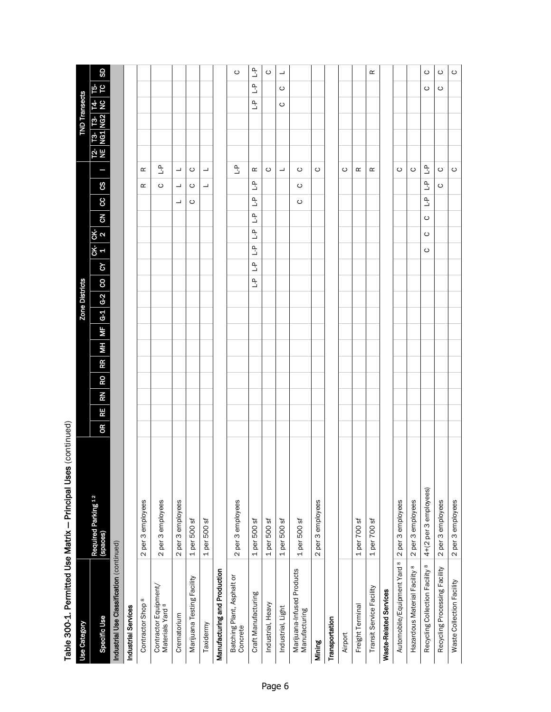|                                                      | Table 300-1. Permitted Use Matrix — Principal Uses (continued) |                                                                            |                                                                                    |                                                        |                                  |                    |
|------------------------------------------------------|----------------------------------------------------------------|----------------------------------------------------------------------------|------------------------------------------------------------------------------------|--------------------------------------------------------|----------------------------------|--------------------|
| Use Category                                         |                                                                | <b>Zone Districts</b>                                                      |                                                                                    |                                                        | <b>TND Transects</b>             |                    |
| Specific Use                                         | Required Parking <sup>12</sup><br>(spaces)                     | $\frac{1}{2}$<br>RR MH MF G-1 G-2 CO<br>RO <sub>.</sub><br>RN<br>RE.<br>OR | $rac{1}{2}$<br>$\overline{5}$<br>야 야<br>1 2                                        | ვ                                                      | T2- T3- T3- T4-<br>NE NG1 NG2 NC | SD<br>եր<br>Ե      |
| Industrial Use Classification (continued)            |                                                                |                                                                            |                                                                                    |                                                        |                                  |                    |
| Industrial Services                                  |                                                                |                                                                            |                                                                                    |                                                        |                                  |                    |
| Contractor Shop <sup>8</sup>                         | 2 per 3 employees                                              |                                                                            |                                                                                    | œ<br>œ                                                 |                                  |                    |
| Contractor Equipment/<br>Materials Yard <sup>8</sup> | 2 per 3 employees                                              |                                                                            |                                                                                    | ٩L<br>$\circ$                                          |                                  |                    |
| Crematorium                                          | 2 per 3 employees                                              |                                                                            | ┙                                                                                  | ┙<br>┙                                                 |                                  |                    |
| Marijuana Testing Facility                           | 1 per 500 sf                                                   |                                                                            | $\circ$                                                                            | ပ<br>$\circ$                                           |                                  |                    |
| Taxidermy                                            | 1 per 500 sf                                                   |                                                                            |                                                                                    | ┙<br>┙                                                 |                                  |                    |
| Manufacturing and Production                         |                                                                |                                                                            |                                                                                    |                                                        |                                  |                    |
| Batching Plant, Asphalt or<br>Concrete               | 2 per 3 employees                                              |                                                                            |                                                                                    | $\frac{0}{1}$                                          |                                  | $\circ$            |
| Craft Manufacturing                                  | 1 per 500 sf                                                   | $\frac{a}{b}$<br>$\mathbf{r}$                                              | $\frac{\rho}{\Box}$<br>$\frac{\rho}{\Box}$<br>$\frac{a}{b}$<br>$\frac{\rho}{\Box}$ | œ<br>$\frac{1}{2}$                                     | $\frac{a}{b}$                    | ٹ<br>$\frac{a}{b}$ |
| Industrial, Heavy                                    | 1 per 500 sf                                                   |                                                                            |                                                                                    | $\circ$                                                |                                  | $\circ$            |
| Industrial, Light                                    | 1 per 500 sf                                                   |                                                                            |                                                                                    | $\overline{\phantom{a}}$                               | $\circ$                          | ┙<br>$\circ$       |
| Marijuana-Infused Products<br>Manufacturing          | 1 per 500 sf                                                   |                                                                            | $\circ$                                                                            | $\circ$<br>$\circ$                                     |                                  |                    |
| Mining                                               | 2 per 3 employees                                              |                                                                            |                                                                                    | ပ                                                      |                                  |                    |
| Transportation                                       |                                                                |                                                                            |                                                                                    |                                                        |                                  |                    |
| Airport                                              |                                                                |                                                                            |                                                                                    | ပ                                                      |                                  |                    |
| Freight Terminal                                     | 1 per 700 sf                                                   |                                                                            |                                                                                    | œ                                                      |                                  |                    |
| Transit Service Facility                             | 1 per 700 sf                                                   |                                                                            |                                                                                    | $\simeq$                                               |                                  | $\simeq$           |
| <b>Waste-Related Services</b>                        |                                                                |                                                                            |                                                                                    |                                                        |                                  |                    |
| Automobile/Equipment Yard <sup>8</sup>               | 2 per 3 employees                                              |                                                                            |                                                                                    | ပ                                                      |                                  |                    |
| Hazardous Material Facility <sup>8</sup>             | 2 per 3 employees                                              |                                                                            |                                                                                    | $\circ$                                                |                                  |                    |
| Recycling Collection Facility <sup>8</sup>           | 4+(2 per 3 employees)                                          |                                                                            | $\frac{\rho}{\Box}$<br>$\circ$<br>ဝ<br>$\circ$                                     | $\mathbb{L}^{\mathsf{p}}$<br>$\mathbb{L}^{\mathsf{D}}$ |                                  | $\circ$<br>ပ       |
| Recycling Processing Facility                        | 2 per 3 employees                                              |                                                                            |                                                                                    | $\circ$<br>ပ                                           |                                  | ပ<br>ပ             |
| Waste Collection Facility                            | 2 per 3 employees                                              |                                                                            |                                                                                    | $\circ$                                                |                                  | $\circ$            |

Table 300-1. Permitted Use Matrix - Principal Uses (continued)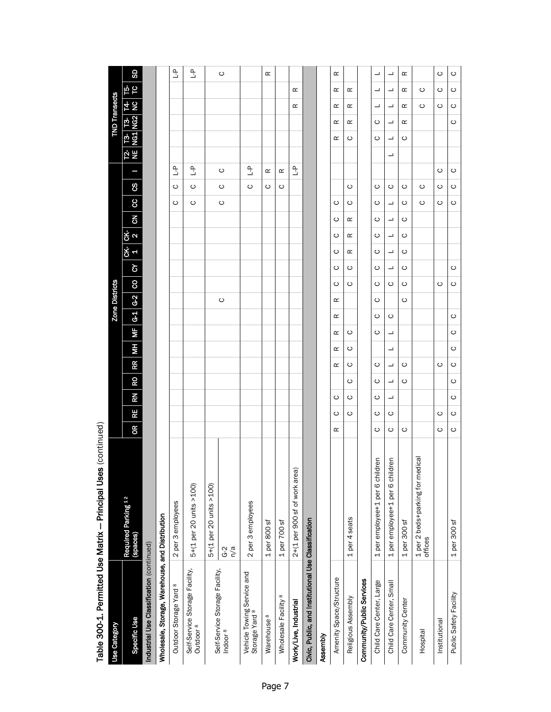|                                                        | Table 300-1. Permitted Use Matrix - Principal Uses (continued) |           |    |    |                          |    |    |                          |                |                       |   |                               |                      |                |         |   |                                    |    |                          |                      |            |     |                           |
|--------------------------------------------------------|----------------------------------------------------------------|-----------|----|----|--------------------------|----|----|--------------------------|----------------|-----------------------|---|-------------------------------|----------------------|----------------|---------|---|------------------------------------|----|--------------------------|----------------------|------------|-----|---------------------------|
| Use Category                                           |                                                                |           |    |    |                          |    |    |                          |                | <b>Zone Districts</b> |   |                               |                      |                |         |   |                                    |    |                          | <b>TND Transects</b> |            |     |                           |
| Specific Use                                           | Required Parking <sup>12</sup><br>(spaces)                     | <b>OR</b> | RE | RN | RO                       | RR | HМ | $\overline{\phantom{a}}$ | $\overline{G}$ | G <sub>2</sub>        | 8 | δ                             | <u>ჭ</u> ი<br>.<br>상 | $\overline{5}$ | 8       | 8 |                                    | 전분 | <b>73-</b><br>№31        | <b>T3-</b><br>NG2    | <u>4 S</u> | ե 5 | SD                        |
| Industrial Use Classification (continued)              |                                                                |           |    |    |                          |    |    |                          |                |                       |   |                               |                      |                |         |   |                                    |    |                          |                      |            |     |                           |
| Wholesale, Storage, Warehouse, and Distribution        |                                                                |           |    |    |                          |    |    |                          |                |                       |   |                               |                      |                |         |   |                                    |    |                          |                      |            |     |                           |
| Outdoor Storage Yard <sup>8</sup>                      | 2 per 3 employees                                              |           |    |    |                          |    |    |                          |                |                       |   |                               |                      |                | ပ       | ပ | $\mathop{\mathbb{L}}^{\mathsf{D}}$ |    |                          |                      |            |     | $\mathbb{L}^{\mathsf{D}}$ |
| Self-Service Storage Facility,<br>Outdoor <sup>8</sup> | 5+(1 per 20 units >100)                                        |           |    |    |                          |    |    |                          |                |                       |   |                               |                      |                | ပ       | ပ | م<br>د                             |    |                          |                      |            |     | ٹ                         |
| Self-Service Storage Facility,                         | 5+(1 per 20 units >100)                                        |           |    |    |                          |    |    |                          |                |                       |   |                               |                      |                |         |   |                                    |    |                          |                      |            |     |                           |
| Indoor <sup>8</sup>                                    | $G-2$<br>$n \geq 0$                                            |           |    |    |                          |    |    |                          |                | $\circ$               |   |                               |                      |                | $\circ$ | ပ | ပ                                  |    |                          |                      |            |     | ပ                         |
| Vehicle Towing Service and<br>Storage Yard 8           | 2 per 3 employees                                              |           |    |    |                          |    |    |                          |                |                       |   |                               |                      |                |         | ပ | $\mathbf{r}$                       |    |                          |                      |            |     |                           |
| Warehouse <sup>8</sup>                                 | $1$ per 800 sf                                                 |           |    |    |                          |    |    |                          |                |                       |   |                               |                      |                |         | ပ | œ                                  |    |                          |                      |            |     | œ                         |
| Wholesale Facility <sup>8</sup>                        | 1 per 700 sf                                                   |           |    |    |                          |    |    |                          |                |                       |   |                               |                      |                |         | ပ | Œ                                  |    |                          |                      |            |     |                           |
| Work/Live, Industrial                                  | 2+(1 per 900 sf of work area)                                  |           |    |    |                          |    |    |                          |                |                       |   |                               |                      |                |         |   | $\mathbf{r}$                       |    |                          |                      | œ          | œ   |                           |
| Civic, Public, and Institutional Use Classification    |                                                                |           |    |    |                          |    |    |                          |                |                       |   |                               |                      |                |         |   |                                    |    |                          |                      |            |     |                           |
| Assembly                                               |                                                                |           |    |    |                          |    |    |                          |                |                       |   |                               |                      |                |         |   |                                    |    |                          |                      |            |     |                           |
| Amenity Space/Structure                                |                                                                | œ         | ပ  | ပ  |                          | œ  | œ  | œ                        | œ              | œ                     | ပ | ပ<br>ပ                        | ပ                    | ပ              | ပ       |   |                                    |    | œ                        | œ                    | œ          | œ   | œ                         |
| Religious Assembly                                     | 1 per 4 seats                                                  |           | ပ  | ပ  | ပ                        | ပ  | ပ  | ပ                        |                |                       | ပ | Œ<br>ပ                        | Œ                    | Œ              | ပ       | ပ |                                    |    | ပ                        | Œ                    | œ          | œ   |                           |
| Community/Public Services                              |                                                                |           |    |    |                          |    |    |                          |                |                       |   |                               |                      |                |         |   |                                    |    |                          |                      |            |     |                           |
| Child Care Center, Large                               | 1 per employee+1 per 6 children                                | ပ         | ပ  | ပ  | ပ                        | ပ  |    | ပ                        | ပ              | ပ                     | ပ | ပ<br>ပ                        | ပ                    | ပ              | ပ       | ပ |                                    |    | ပ                        | ပ                    | ᆜ          | ᆜ   | ┙                         |
| Child Care Center, Small                               | 1 per employee+1 per 6 children                                | ပ         | ပ  | ┙  | $\overline{\phantom{a}}$ | ┙  | ┙  | ┙                        | ပ              |                       | ပ | $\overline{\phantom{a}}$<br>┙ | ┙                    | ┙              | ┙       | ပ |                                    | ┙  | $\overline{\phantom{a}}$ | ┙                    | ┙          | ┙   | ┙                         |
| Community Center                                       | $1per$ 300 sf                                                  | ပ         |    |    | ပ                        | ပ  |    |                          |                | ပ                     | ပ | ပ<br>ပ                        | ပ                    | ပ              | ပ       | ပ |                                    |    | ပ                        | œ                    | œ          | œ   | œ                         |
| Hospital                                               | 1 per 2 beds+parking for medical<br>offices                    |           |    |    |                          |    |    |                          |                |                       |   |                               |                      |                | ပ       | ပ |                                    |    |                          |                      | ပ          | ပ   |                           |
| Institutional                                          |                                                                | O         | ပ  |    |                          | ပ  |    |                          |                |                       | ပ |                               |                      |                | ပ       | ပ | ပ                                  |    |                          |                      | ပ          | ပ   | ပ                         |
| Public Safety Facility                                 | 1 per 300 sf                                                   | ပ         | ပ  | ပ  | ပ                        | ပ  | ပ  | ပ                        | ပ              |                       | ပ | $\circ$                       |                      |                | $\circ$ | ပ | ပ                                  |    |                          | $\circ$              | ပ          | ပ   | ပ                         |

Table 300-1. Permitted Use Matrix - Principal Uses (continued)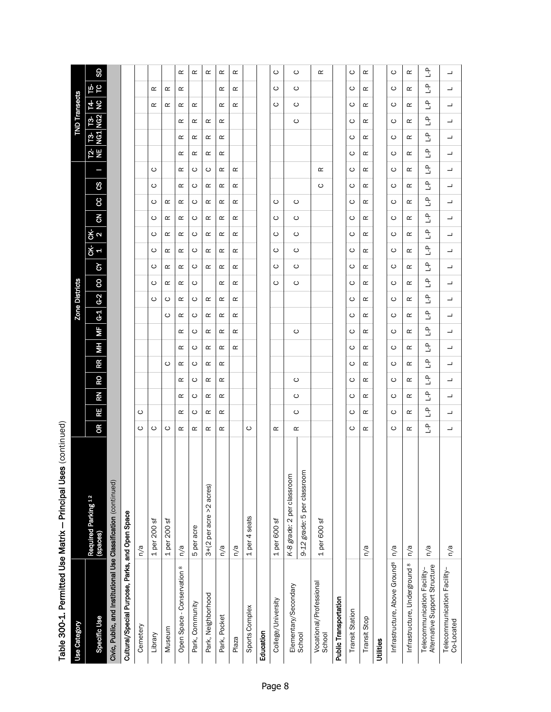| i<br>I |
|--------|
|        |
|        |
|        |
|        |
|        |
|        |
|        |
|        |
|        |

|                                                    | <b>Use Category</b>   | Specific Use                               | Civic, Public, and Institutional Use Classification (continued) | Cultural/Special Purpose, Parks, and Open Space | Cemetery | Library      | Museum       | Open Space - Conservation 8 | Park, Community | Park, Neighborhood      | Park, Pocket  | Plaza  | Sports Complex | Education | College/University | Elementary/Secondary       | School                      | Vocational/Professional<br>School | <b>Public Transportation</b> | <b>Transit Station</b> | Transit Stop | Utilities | Infrastructure, Above Ground <sup>8</sup> | Infrastructure, Underground <sup>8</sup> | Alternative Support Structure<br>Telecommunication Facility- | Telecommunication Facility-<br>Co-Located |
|----------------------------------------------------|-----------------------|--------------------------------------------|-----------------------------------------------------------------|-------------------------------------------------|----------|--------------|--------------|-----------------------------|-----------------|-------------------------|---------------|--------|----------------|-----------|--------------------|----------------------------|-----------------------------|-----------------------------------|------------------------------|------------------------|--------------|-----------|-------------------------------------------|------------------------------------------|--------------------------------------------------------------|-------------------------------------------|
| Table 300-1. Permitted Use Matrix – Principal Uses |                       | Required Parking <sup>12</sup><br>(spaces) |                                                                 |                                                 | n/a      | 1 per 200 sf | 1 per 200 sf | n/a                         | 5 per acre      | 3+(2 per acre >2 acres) | $\frac{a}{a}$ | n/a    | 1 per 4 seats  |           | 1 per 600 sf       | K-8 grade: 2 per classroom | 9-12 grade: 5 per classroom | 1 per 600 sf                      |                              |                        | n/a          |           | n/a                                       | n/a                                      | n/a                                                          | n/a                                       |
| (continued)                                        |                       | œ                                          |                                                                 |                                                 | ပ        | ပ            | $\circ$      | œ                           | œ               | œ                       | œ             |        | $\circ$        |           | œ                  | œ                          |                             |                                   |                              | ပ                      | œ            |           | ပ                                         | œ                                        | ٹ                                                            | ┙                                         |
|                                                    |                       | RE                                         |                                                                 |                                                 | ပ        |              |              | œ                           | ပ               | œ                       | œ             |        |                |           |                    | $\circ$                    |                             |                                   |                              | ပ                      | œ            |           | ပ                                         | œ                                        | $\mathbf{r}$                                                 | ┙                                         |
|                                                    |                       | <b>RN</b>                                  |                                                                 |                                                 |          |              |              | œ                           | ပ               | œ                       | œ             |        |                |           |                    | ပ                          |                             |                                   |                              | ပ                      | œ            |           | ပ                                         | œ                                        | Ľ                                                            | ┙                                         |
|                                                    |                       | <b>RO</b>                                  |                                                                 |                                                 |          |              |              | œ                           | ပ               | $\propto$               | œ             |        |                |           |                    | $\circ$                    |                             |                                   |                              | ပ                      | œ            |           | ပ                                         | œ                                        | $\mathbf{r}$                                                 | ┙                                         |
|                                                    |                       | <b>RR</b>                                  |                                                                 |                                                 |          |              | ပ            | œ                           | ပ               | œ                       | œ             |        |                |           |                    |                            |                             |                                   |                              | ပ                      | œ            |           | ပ                                         | œ                                        | Ľ                                                            | ┙                                         |
|                                                    |                       | ĦМ                                         |                                                                 |                                                 |          |              |              | œ                           | ပ               | $\propto$               | œ             | œ      |                |           |                    |                            |                             |                                   |                              | ပ                      | œ            |           | ပ                                         | œ                                        | $\mathbf{r}$                                                 | ┙                                         |
|                                                    |                       | МF                                         |                                                                 |                                                 |          |              |              | œ                           | ပ               | œ                       | œ             | œ      |                |           |                    | $\circ$                    |                             |                                   |                              | ပ                      | œ            |           | ပ                                         | œ                                        | Ľ                                                            | ┙                                         |
|                                                    | <b>Zone Districts</b> | G <sub>1</sub>                             |                                                                 |                                                 |          |              | ပ            | œ                           | ပ               | $\propto$               | œ             | œ      |                |           |                    |                            |                             |                                   |                              | ပ                      | œ            |           | ပ                                         | œ                                        | $\mathbf{r}$                                                 | ┙                                         |
|                                                    |                       | $G-2$                                      |                                                                 |                                                 |          | ပ            | ပ            | œ                           | ပ               | œ                       | œ             | œ      |                |           |                    |                            |                             |                                   |                              | ပ                      | œ            |           | ပ                                         | œ                                        | Ľ                                                            | ┙                                         |
|                                                    |                       | 8                                          |                                                                 |                                                 |          | ပ            | œ            | œ                           | ပ               |                         | œ             | œ      |                |           | ပ                  | $\circ$                    |                             |                                   |                              | ပ                      | œ            |           | ပ                                         | œ                                        | $\mathbf{r}$                                                 | ┙                                         |
|                                                    |                       | $\delta$                                   |                                                                 |                                                 |          | ပ            | œ            | œ                           | ပ               | œ                       | œ             | œ      |                |           | ပ                  | $\circ$                    |                             |                                   |                              | ပ                      | œ            |           | ပ                                         | œ                                        | Ľ                                                            | ┙                                         |
|                                                    |                       | <u>ረኛ</u><br><u>ች</u><br>4                 |                                                                 |                                                 |          | ပ<br>ပ       | œ<br>œ       | œ<br>œ                      | ပ<br>ပ          | œ<br>$\propto$          | œ<br>œ        | œ<br>œ |                |           | ပ<br>ပ             | $\circ$<br>$\circ$         |                             |                                   |                              | ပ<br>ပ                 | œ<br>œ       |           | ပ<br>ပ                                    | œ<br>œ                                   | Ľ<br>$\mathbf{r}$                                            | ┙<br>┙                                    |
|                                                    |                       | $\overline{6}$                             |                                                                 |                                                 |          | ပ            | œ            | œ                           | ပ               | œ                       | œ             | œ      |                |           | ပ                  | $\circ$                    |                             |                                   |                              | ပ                      | œ            |           | ပ                                         | œ                                        | $\mathbf{r}$                                                 | ┙                                         |
|                                                    |                       | 8                                          |                                                                 |                                                 |          | ပ            | œ            | œ                           | ပ               | œ                       | œ             | œ      |                |           | ပ                  | $\circ$                    |                             |                                   |                              | ပ                      | œ            |           | ပ                                         | œ                                        | Ľ                                                            | ┙                                         |
|                                                    |                       | ၓ                                          |                                                                 |                                                 |          | ပ            |              | œ                           | ပ               | œ                       | œ             | œ      |                |           |                    |                            |                             | $\circ$                           |                              | ပ                      | œ            |           | ပ                                         | œ                                        | $\mathbf{r}$                                                 | ┙                                         |
|                                                    |                       |                                            |                                                                 |                                                 |          | ပ            |              | œ                           | ပ               | ပ                       | œ             | œ      |                |           |                    |                            |                             | $\simeq$                          |                              | ပ                      | œ            |           | ပ                                         | œ                                        | Ľ                                                            | ┙                                         |
|                                                    |                       | 언는                                         |                                                                 |                                                 |          |              |              | œ                           | œ               | œ                       | œ             |        |                |           |                    |                            |                             |                                   |                              | ပ                      | œ            |           | ပ                                         | œ                                        | $\mathbf{r}$                                                 | ┙                                         |
|                                                    |                       |                                            |                                                                 |                                                 |          |              |              | œ                           | œ               | œ                       | œ             |        |                |           |                    |                            |                             |                                   |                              | ပ                      | œ            |           | ပ                                         | œ                                        | Ľ                                                            | ┙                                         |
|                                                    | <b>TND Transects</b>  | <b>13-13-</b><br>NG1 NG2                   |                                                                 |                                                 |          |              |              | œ                           | œ               | œ                       | œ             |        |                |           |                    | $\circ$                    |                             |                                   |                              | ပ                      | œ            |           | ပ                                         | œ                                        | $\mathbf{r}$                                                 | ┙                                         |
|                                                    |                       | <u>4 오</u>                                 |                                                                 |                                                 |          | œ            | œ            | œ                           | œ               |                         | œ             | œ      |                |           | ပ                  | $\circ$                    |                             |                                   |                              | ပ                      | œ            |           | ပ                                         | œ                                        | Ľ                                                            | ┙                                         |
|                                                    |                       | ե<br>5                                     |                                                                 |                                                 |          | œ            | œ            | œ                           |                 |                         | œ             | œ      |                |           | ပ                  | $\circ$                    |                             |                                   |                              | ပ                      | œ            |           | ပ                                         | œ                                        | ٹ                                                            | ┙                                         |
|                                                    |                       | SD <sub>3</sub>                            |                                                                 |                                                 |          |              |              | œ                           | œ               | œ                       | œ             | œ      |                |           | $\circ$            | $\circ$                    |                             | $\simeq$                          |                              | ပ                      | $\simeq$     |           | $\circ$                                   | œ                                        | ٹ                                                            | ┙                                         |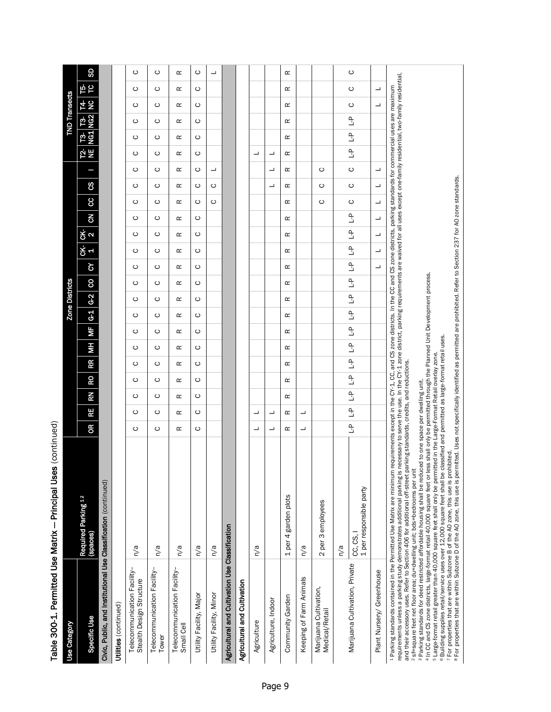| l      |
|--------|
|        |
|        |
|        |
|        |
| í<br>i |

| Table 300-1. Permitted Use Matrix - Principal Uses                       | (continued)                                                                                                                                                                                                                                                                                                                                                                                                                                                                                                                                                                                                                                                                                                                                                                                                                                                                                                                                                                                                                                                                                                                                                                                                                                                                                                                                                    |               |               |               |                |                |                    |               |                |                       |                          |                          |                          |                |                          |                          |                          |               |                         |                      |         |                     |  |
|--------------------------------------------------------------------------|----------------------------------------------------------------------------------------------------------------------------------------------------------------------------------------------------------------------------------------------------------------------------------------------------------------------------------------------------------------------------------------------------------------------------------------------------------------------------------------------------------------------------------------------------------------------------------------------------------------------------------------------------------------------------------------------------------------------------------------------------------------------------------------------------------------------------------------------------------------------------------------------------------------------------------------------------------------------------------------------------------------------------------------------------------------------------------------------------------------------------------------------------------------------------------------------------------------------------------------------------------------------------------------------------------------------------------------------------------------|---------------|---------------|---------------|----------------|----------------|--------------------|---------------|----------------|-----------------------|--------------------------|--------------------------|--------------------------|----------------|--------------------------|--------------------------|--------------------------|---------------|-------------------------|----------------------|---------|---------------------|--|
| Use Category                                                             |                                                                                                                                                                                                                                                                                                                                                                                                                                                                                                                                                                                                                                                                                                                                                                                                                                                                                                                                                                                                                                                                                                                                                                                                                                                                                                                                                                |               |               |               |                |                |                    |               |                | <b>Zone Districts</b> |                          |                          |                          |                |                          |                          |                          |               |                         | <b>TND Transects</b> |         |                     |  |
| Specific Use                                                             | Required Parking 12<br>(spaces)                                                                                                                                                                                                                                                                                                                                                                                                                                                                                                                                                                                                                                                                                                                                                                                                                                                                                                                                                                                                                                                                                                                                                                                                                                                                                                                                | $\epsilon$    | RE            | RN            | RO             | RR             | МF<br>МH           | $G-1$         | $\overline{q}$ | 8                     | $\delta$                 | ርK-<br>1                 | $rac{1}{2}$              | $\overline{5}$ | $\infty$                 | g                        |                          | .<br>같        | <b>13</b> 13<br>NG1 NG2 |                      | 요<br>선  | <b>GD</b><br>ե<br>Ե |  |
| Civic, Public, and Institutional Use Classification (continued)          |                                                                                                                                                                                                                                                                                                                                                                                                                                                                                                                                                                                                                                                                                                                                                                                                                                                                                                                                                                                                                                                                                                                                                                                                                                                                                                                                                                |               |               |               |                |                |                    |               |                |                       |                          |                          |                          |                |                          |                          |                          |               |                         |                      |         |                     |  |
| Utilities (continued)                                                    |                                                                                                                                                                                                                                                                                                                                                                                                                                                                                                                                                                                                                                                                                                                                                                                                                                                                                                                                                                                                                                                                                                                                                                                                                                                                                                                                                                |               |               |               |                |                |                    |               |                |                       |                          |                          |                          |                |                          |                          |                          |               |                         |                      |         |                     |  |
| Telecommunication Facility<br>Stealth Design Structure                   | n/a                                                                                                                                                                                                                                                                                                                                                                                                                                                                                                                                                                                                                                                                                                                                                                                                                                                                                                                                                                                                                                                                                                                                                                                                                                                                                                                                                            | ပ             | ပ             | ပ             | ပ              | ပ              | ပ<br>ပ             | ပ             | ပ              | ပ                     | ပ                        | ပ                        | ပ                        | ပ              | ပ                        | ပ                        | ပ                        | ပ             | ပ                       | ပ                    | ပ       | O<br>$\circ$        |  |
| Telecommunication Facility<br>Tower                                      | n/a                                                                                                                                                                                                                                                                                                                                                                                                                                                                                                                                                                                                                                                                                                                                                                                                                                                                                                                                                                                                                                                                                                                                                                                                                                                                                                                                                            | ပ             | ပ             | ပ             | ပ              | ပ              | ပ<br>ပ             | ပ             | ပ              | ပ                     | ပ                        | ပ                        | ပ                        | ပ              | ပ                        | ပ                        | ပ                        | ပ             | ပ                       | ပ                    | ပ       | $\circ$<br>ပ        |  |
| Telecommunication Facility<br>Small Cell                                 | n/a                                                                                                                                                                                                                                                                                                                                                                                                                                                                                                                                                                                                                                                                                                                                                                                                                                                                                                                                                                                                                                                                                                                                                                                                                                                                                                                                                            | œ             | œ             | œ             | œ              | œ              | œ<br>œ             | œ             | œ              | œ                     | œ                        | œ                        | œ                        | œ              | œ                        | œ                        | œ                        | œ             | œ                       | œ                    | œ       | $\simeq$<br>œ       |  |
| Utility Facility, Major                                                  | n/a                                                                                                                                                                                                                                                                                                                                                                                                                                                                                                                                                                                                                                                                                                                                                                                                                                                                                                                                                                                                                                                                                                                                                                                                                                                                                                                                                            | ပ             | ပ             | ပ             | ပ              | ပ              | ပ<br>ပ             | ပ             | ပ              | ပ                     | ပ                        | ပ                        | ပ                        | ပ              | ပ                        | ပ                        | ပ                        | ပ             | ပ                       | ပ                    | ပ       | ပ<br>ပ              |  |
| Utility Facility, Minor                                                  | n/a                                                                                                                                                                                                                                                                                                                                                                                                                                                                                                                                                                                                                                                                                                                                                                                                                                                                                                                                                                                                                                                                                                                                                                                                                                                                                                                                                            |               |               |               |                |                |                    |               |                |                       |                          |                          |                          |                | ပ                        | ပ                        | ┙                        |               |                         |                      |         | ┙                   |  |
| Agricultural and Cultivation Use Classification                          |                                                                                                                                                                                                                                                                                                                                                                                                                                                                                                                                                                                                                                                                                                                                                                                                                                                                                                                                                                                                                                                                                                                                                                                                                                                                                                                                                                |               |               |               |                |                |                    |               |                |                       |                          |                          |                          |                |                          |                          |                          |               |                         |                      |         |                     |  |
| Agricultural and Cultivation                                             |                                                                                                                                                                                                                                                                                                                                                                                                                                                                                                                                                                                                                                                                                                                                                                                                                                                                                                                                                                                                                                                                                                                                                                                                                                                                                                                                                                |               |               |               |                |                |                    |               |                |                       |                          |                          |                          |                |                          |                          |                          |               |                         |                      |         |                     |  |
| Agriculture                                                              | n/a                                                                                                                                                                                                                                                                                                                                                                                                                                                                                                                                                                                                                                                                                                                                                                                                                                                                                                                                                                                                                                                                                                                                                                                                                                                                                                                                                            | ┙             | ┙             |               |                |                |                    |               |                |                       |                          |                          |                          |                |                          |                          |                          | ┙             |                         |                      |         |                     |  |
| Agriculture, Indoor                                                      |                                                                                                                                                                                                                                                                                                                                                                                                                                                                                                                                                                                                                                                                                                                                                                                                                                                                                                                                                                                                                                                                                                                                                                                                                                                                                                                                                                | ┙             | ┙             |               |                |                |                    |               |                |                       |                          |                          |                          |                |                          | ┙                        | ┙                        | ┙             |                         |                      |         |                     |  |
| Community Garden                                                         | 4 garden plots<br>per<br>$\overline{ }$                                                                                                                                                                                                                                                                                                                                                                                                                                                                                                                                                                                                                                                                                                                                                                                                                                                                                                                                                                                                                                                                                                                                                                                                                                                                                                                        | œ             | œ             | œ             | œ              | œ              | œ<br>œ             | œ             | œ              | œ                     | œ                        | œ                        | œ                        | œ              | œ                        | œ                        | œ                        | œ             | œ                       | œ                    | œ       | œ<br>œ              |  |
| Keeping of Farm Animals                                                  | n/a                                                                                                                                                                                                                                                                                                                                                                                                                                                                                                                                                                                                                                                                                                                                                                                                                                                                                                                                                                                                                                                                                                                                                                                                                                                                                                                                                            | ┙             | ┙             |               |                |                |                    |               |                |                       |                          |                          |                          |                |                          |                          |                          |               |                         |                      |         |                     |  |
| Marijuana Cultivation,<br>Medical/Retail                                 | 2 per 3 employees                                                                                                                                                                                                                                                                                                                                                                                                                                                                                                                                                                                                                                                                                                                                                                                                                                                                                                                                                                                                                                                                                                                                                                                                                                                                                                                                              |               |               |               |                |                |                    |               |                |                       |                          |                          |                          |                | $\circ$                  | C                        | $\circ$                  |               |                         |                      |         |                     |  |
|                                                                          | n/a                                                                                                                                                                                                                                                                                                                                                                                                                                                                                                                                                                                                                                                                                                                                                                                                                                                                                                                                                                                                                                                                                                                                                                                                                                                                                                                                                            |               |               |               |                |                |                    |               |                |                       |                          |                          |                          |                |                          |                          |                          |               |                         |                      |         |                     |  |
| Marijuana Cultivation, Private                                           | 1 per responsible party<br>CC, CS, I                                                                                                                                                                                                                                                                                                                                                                                                                                                                                                                                                                                                                                                                                                                                                                                                                                                                                                                                                                                                                                                                                                                                                                                                                                                                                                                           | $\frac{1}{2}$ | $\frac{1}{2}$ | $\frac{1}{2}$ | $\mathbb{R}^2$ | $\mathbb{R}^2$ | ٹ<br>$\frac{1}{2}$ | $\frac{1}{2}$ | $\mathbb{R}^2$ | $\frac{1}{2}$         | $\mathbb{R}^2$           | $\mathbb{R}^2$           | م<br>ت                   | ٹ              | $\circ$                  | $\circ$                  | $\circ$                  | $\frac{1}{2}$ | $\frac{a}{b}$           | ٹ                    | $\circ$ | $\circ$<br>$\circ$  |  |
| Plant Nursery/ Greenhouse                                                |                                                                                                                                                                                                                                                                                                                                                                                                                                                                                                                                                                                                                                                                                                                                                                                                                                                                                                                                                                                                                                                                                                                                                                                                                                                                                                                                                                |               |               |               |                |                |                    |               |                |                       | $\overline{\phantom{a}}$ | $\overline{\phantom{0}}$ | $\overline{\phantom{0}}$ | ┙              | $\overline{\phantom{0}}$ | $\overline{\phantom{0}}$ | $\overline{\phantom{0}}$ |               |                         |                      | ┙       | ┙                   |  |
| 2 sf=square feet net floor area; du=dwelling unit; bds=bedrooms per unit | requirements unless a parking study demonstrates additional parking is necessary to serve the use. In the CY-1 zone district, parking requirements are waived for all uses except one-family residential, two-family residenti<br>1 Parking standards contained in the Permitted Use Matrix are minimum requirements except in the C's zone districts. In the CC and CS zone districts, parking standards for commercial uses are maximum<br>7 For properties that are within Subzone B of the AO zone, this use is prohibited.<br>8 For properties that are within Subzone D of the AO zone, this use is permitted. Uses not specifically identified as permitted are prohibi<br>4 In CC and CS zone districts, large format retail 40,000 square feet or less shall only be permitted through the Planned Unit Development process.<br><sup>6</sup> Building supplies retail/service uses over 12,000 square feet shall be classified and permitted as large-format retail uses.<br>5 Large-format retail greater than 40,000 square feet shall only be permitted in the Large-Format Retail overlay zone.<br>and their accessory uses. Refer to Section 406 for additional off-street parking standards, credits, and reductions.<br><sup>3</sup> Parking standards for deed restricted affordable housing shall be reduced to one space per dwelling unit. |               |               |               |                |                |                    |               |                |                       |                          |                          |                          |                |                          |                          |                          |               |                         |                      |         |                     |  |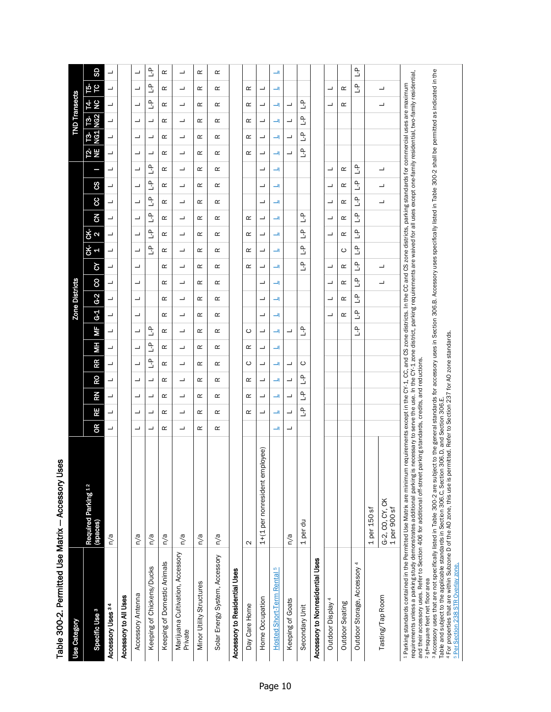| Table 300-2. Permitted Use Matrix - Accessory Uses                                                                                      |                                                                                                                                                                                                                                                                                                                                                                                                                                                                                         |    |                                |                     |                                |               |               |                    |                         |                       |              |                     |                          |               |                     |               |               |                     |                     |                                |               |             |               |
|-----------------------------------------------------------------------------------------------------------------------------------------|-----------------------------------------------------------------------------------------------------------------------------------------------------------------------------------------------------------------------------------------------------------------------------------------------------------------------------------------------------------------------------------------------------------------------------------------------------------------------------------------|----|--------------------------------|---------------------|--------------------------------|---------------|---------------|--------------------|-------------------------|-----------------------|--------------|---------------------|--------------------------|---------------|---------------------|---------------|---------------|---------------------|---------------------|--------------------------------|---------------|-------------|---------------|
| Use Category                                                                                                                            |                                                                                                                                                                                                                                                                                                                                                                                                                                                                                         |    |                                |                     |                                |               |               |                    |                         | <b>Zone Districts</b> |              |                     |                          |               |                     |               |               |                     |                     | <b>TND Transects</b>           |               |             |               |
| Specific Use <sup>3</sup>                                                                                                               | Required Parking 12<br>(spaces)                                                                                                                                                                                                                                                                                                                                                                                                                                                         | OR | Æ                              | RN                  | RO                             | RR            | ĦМ            | МF                 | $G-2$<br>$\overline{5}$ | 8                     | ઠ            | CK-<br>F            | CK-<br>$\mathbf{\Omega}$ | 3             | 8                   | ၓ             | I             | Ψ<br><u>12-</u>     | .<br>이 프            | <b>13</b><br>NG2               | <b>NA</b>     | ե<br>Ե      | SD            |
| Accessory Uses 34                                                                                                                       | n/a                                                                                                                                                                                                                                                                                                                                                                                                                                                                                     | ┙  | ┙                              | ┙                   | ┙                              | ┙             | ┙             | ┙<br>┙             | ┙                       | ┙                     | ┙            | ┙                   | ┙                        | ┙             | ┙                   | ┙             | ┙             | ┙                   | ┙                   | ┙                              | ┙             | ┙           | ᆜ             |
| Accessory to All Uses                                                                                                                   |                                                                                                                                                                                                                                                                                                                                                                                                                                                                                         |    |                                |                     |                                |               |               |                    |                         |                       |              |                     |                          |               |                     |               |               |                     |                     |                                |               |             |               |
| Accessory Antenna                                                                                                                       | n/a                                                                                                                                                                                                                                                                                                                                                                                                                                                                                     | ┙  | ┙                              | ┙                   | ┙                              | ┙             | ┙             | ┙<br>┙             | ┙                       | ┙                     | ┙            | ┙                   | ┙                        | ┙             | ┙                   | ┙             | ┙             | ┙                   | ┙                   | ┙                              | ┙             | ┙           | ┙             |
| Keeping of Chickens/Ducks                                                                                                               | n/a                                                                                                                                                                                                                                                                                                                                                                                                                                                                                     | ┙  | ᆜ                              | ┙                   | ᆜ                              | $\frac{a}{b}$ | $\frac{a}{b}$ | $\mathbf{r}$       |                         |                       |              | ٹ                   | $\frac{a}{b}$            | $\frac{a}{b}$ | $\frac{a}{b}$       | $\frac{a}{b}$ | ٹ             | ┙                   | ┙                   | ᆜ                              | $\frac{a}{b}$ | ٹ           | $\frac{a}{b}$ |
| Keeping of Domestic Animals                                                                                                             | n/a                                                                                                                                                                                                                                                                                                                                                                                                                                                                                     | œ  | œ                              | œ                   | œ                              | œ             | œ             | œ<br>œ             | œ                       | œ                     | œ            | œ                   | œ                        | œ             | œ                   | œ             | œ             | œ                   | œ                   | œ                              | œ             | $\simeq$    | œ             |
| Marijuana Cultivation, Accessory<br>Private                                                                                             | n/a                                                                                                                                                                                                                                                                                                                                                                                                                                                                                     | ┙  | ┙                              | ┙                   | ┙                              | ┙             | ┙             | ┙<br>┙             | ┙                       | ┙                     | ┙            | ┙                   | ┙                        | ┙             | ┙                   | ┙             | ┙             | ┙                   | ┙                   | ┙                              | ┙             | ┙           | ┙             |
| Minor Utility Structures                                                                                                                | n/a                                                                                                                                                                                                                                                                                                                                                                                                                                                                                     | œ  | œ                              | œ                   | œ                              | œ             | œ             | œ<br>œ             | œ                       | œ                     | œ            | œ                   | œ                        | œ             | œ                   | œ             | œ             | œ                   | œ                   | œ                              | œ             | œ           | œ             |
| Solar Energy System, Accessory                                                                                                          | n/a                                                                                                                                                                                                                                                                                                                                                                                                                                                                                     | œ  | œ                              | ≃                   | ≃                              | ≃             | ≃             | ≃<br>≃             | œ                       | ≃                     | œ            | ≃                   | ≃                        | œ             | œ                   | œ             | œ             | œ                   | œ                   | œ                              | œ             | œ           | œ             |
| Accessory to Residential Uses                                                                                                           |                                                                                                                                                                                                                                                                                                                                                                                                                                                                                         |    |                                |                     |                                |               |               |                    |                         |                       |              |                     |                          |               |                     |               |               |                     |                     |                                |               |             |               |
| Day Care Home                                                                                                                           | $\mathbf{\Omega}$                                                                                                                                                                                                                                                                                                                                                                                                                                                                       |    | ≃                              | œ                   | œ                              | ပ             | œ             | ပ                  |                         |                       | œ            | œ                   | œ                        | œ             |                     |               |               | œ                   | œ                   | œ                              | œ             | œ           |               |
| Home Occupation                                                                                                                         | ployee)<br>$1+(1$ per nonresident em                                                                                                                                                                                                                                                                                                                                                                                                                                                    |    | ┙                              | ┙                   | ┙                              | ┙             | ┙             | ┙<br>┙             | ᆜ                       | ┙                     | ┙            | ᆜ                   | ┙                        | ┙             | ┙                   | ᆜ             | ┙             | ᆜ                   | ┙                   | ┙                              | ┙             | ┙           |               |
| Hosted Short-Term Rental 5                                                                                                              |                                                                                                                                                                                                                                                                                                                                                                                                                                                                                         | ᅴ  | ᅴ                              | ᅴ                   | ᅴ                              | ᅴ             | ᅴ             | ᅴ<br>ᅴ             | ᅴ                       | ᅴ                     | ᅴ            | ᅴ                   | ᅴ                        | ᅴ             | ᅴ                   | ᅴ             | ᅴ             | ᅴ                   | ᅴ                   | ᅴ                              | ᅴ             | ᅴ           | ᅴ             |
| Keeping of Goats                                                                                                                        | n/a                                                                                                                                                                                                                                                                                                                                                                                                                                                                                     | ┙  | ┙                              | ┙                   | ┙                              | ┙             |               | ┙                  |                         |                       |              |                     |                          |               |                     |               |               | ┙                   | ┙                   | ┙                              | ┙             |             |               |
| Secondary Unit                                                                                                                          | 1 per du                                                                                                                                                                                                                                                                                                                                                                                                                                                                                |    | $\mathop{\mathbb{L}}\nolimits$ | $\frac{\rho}{\Box}$ | $\mathop{\mathbb{L}}\nolimits$ | ပ             |               | 오                  |                         |                       | $\mathbb{L}$ | $\frac{\rho}{\Box}$ | $\frac{\rho}{\Box}$      | ٩L            |                     |               |               | $\frac{\rho}{\Box}$ | $\frac{\rho}{\Box}$ | $\mathop{\mathbb{L}}\nolimits$ | $\mathbb{L}$  |             |               |
| Accessory to Nonresidential Uses                                                                                                        |                                                                                                                                                                                                                                                                                                                                                                                                                                                                                         |    |                                |                     |                                |               |               |                    |                         |                       |              |                     |                          |               |                     |               |               |                     |                     |                                |               |             |               |
| Outdoor Display 4                                                                                                                       |                                                                                                                                                                                                                                                                                                                                                                                                                                                                                         |    |                                |                     |                                |               |               | ┙                  | ┙                       | ┙                     | ┙            |                     | ┙                        | ┙             | ┙                   | ┙             | ┙             |                     |                     |                                | ┙             | ┙           |               |
| Outdoor Seating                                                                                                                         |                                                                                                                                                                                                                                                                                                                                                                                                                                                                                         |    |                                |                     |                                |               |               | œ                  | œ                       | œ                     | œ            | ပ                   | œ                        | œ             | œ                   | œ             | œ             |                     |                     |                                | œ             | œ           |               |
| Outdoor Storage, Accessory 4                                                                                                            |                                                                                                                                                                                                                                                                                                                                                                                                                                                                                         |    |                                |                     |                                |               |               | Ê<br>$\frac{1}{2}$ | $\frac{\rho}{\Box}$     | $\tilde{a}$           | $\tilde{a}$  | $\frac{a}{b}$       | $\tilde{a}$              | $\tilde{a}$   | $\frac{\rho}{\Box}$ | $\frac{1}{2}$ | $\frac{1}{2}$ |                     |                     |                                |               | $\tilde{a}$ | $\frac{1}{2}$ |
|                                                                                                                                         | $1per 150$ sf                                                                                                                                                                                                                                                                                                                                                                                                                                                                           |    |                                |                     |                                |               |               |                    |                         |                       |              |                     |                          |               |                     |               |               |                     |                     |                                |               |             |               |
| Tasting/Tap Room                                                                                                                        | G-2, CO, CY, CK<br>1 per 900 sf                                                                                                                                                                                                                                                                                                                                                                                                                                                         |    |                                |                     |                                |               |               |                    |                         | ┙                     | ┙            |                     |                          |               | ┙                   | ┙             | ┙             |                     |                     |                                | ┙             | ┙           |               |
| and their accessory uses. Refer to Section 406 for additional off-street<br>2 sf=square feet net floor area                             | requirements unless a parking study demonstrates additional parking is necessary to serve the use. In the CY-1 zone district, parking requirements are waived for all uses except one-family residential, two-family residenti<br>1 Parking standards contained in the Permitted Use Matrix are minimum requirements except in the CS zone districts. In the CC and CS zone districts, parking standards for commercial uses are maximum<br>parking standards, credits, and reductions. |    |                                |                     |                                |               |               |                    |                         |                       |              |                     |                          |               |                     |               |               |                     |                     |                                |               |             |               |
| <sup>3</sup> Accessory uses that are not specifically listed in Table 300-2 are subje<br><sup>5</sup> Per Section 238 STR Overlay zone. | ect to the general standards for accessory uses in Section 306.B. Accessory uses specifically listed in Table 300-2 shall be permitted as indicated in the<br>4 For properties that are within Subzone D of the AO zone, this use is permitted. Refer to Section 237 for AO zone standards.<br>Table and subject to the applicable standards in Section 306.C, Section 306.D, and Section 306.E.                                                                                        |    |                                |                     |                                |               |               |                    |                         |                       |              |                     |                          |               |                     |               |               |                     |                     |                                |               |             |               |

an Ilses Table 300-2. Permitted Use Matrix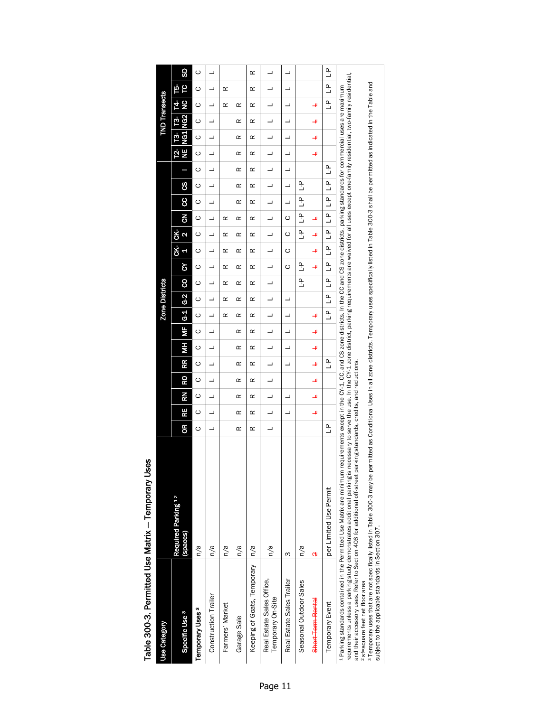|                                                                                                                | Table 300-3. Permitted Use Matrix - Temporary Uses                                                                                                                                                                                                                                                                                                                                                                                                                                     |     |    |    |    |         |           |                |                       |                          |         |               |                                 |                |               |               |   |          |          |                      |         |                        |         |
|----------------------------------------------------------------------------------------------------------------|----------------------------------------------------------------------------------------------------------------------------------------------------------------------------------------------------------------------------------------------------------------------------------------------------------------------------------------------------------------------------------------------------------------------------------------------------------------------------------------|-----|----|----|----|---------|-----------|----------------|-----------------------|--------------------------|---------|---------------|---------------------------------|----------------|---------------|---------------|---|----------|----------|----------------------|---------|------------------------|---------|
| <b>Use Category</b>                                                                                            |                                                                                                                                                                                                                                                                                                                                                                                                                                                                                        |     |    |    |    |         |           |                | <b>Zone Districts</b> |                          |         |               |                                 |                |               |               |   |          |          | <b>TND Transects</b> |         |                        |         |
| Specific Use <sup>3</sup>                                                                                      | Required Parking 12<br>(spaces)                                                                                                                                                                                                                                                                                                                                                                                                                                                        | OR. | RE | ΚŽ | RO | HМ<br>Æ | <b>SP</b> | G <sub>1</sub> | $\frac{62}{5}$        | 8                        | ১       | άk<br>a       | <b>CK-</b><br>$\mathbf{\Omega}$ | $\overline{6}$ | 8             | g             |   | ¥<br>T2- | NG1<br>բ | NG <sub>2</sub><br>բ | š<br>14 | SD<br>P<br>Ъ,          |         |
| Temporary Uses <sup>3</sup>                                                                                    | n/a                                                                                                                                                                                                                                                                                                                                                                                                                                                                                    | ပ   | ပ  | ပ  | ပ  | ပ<br>ပ  | ပ         | ပ              | $\circ$               | ပ                        | ပ       | ပ             | ပ                               | ပ              | $\circ$       | ပ             | ပ | $\circ$  | $\circ$  | $\circ$              | $\circ$ | $\circ$                | $\circ$ |
| Construction Trailer                                                                                           | n/a                                                                                                                                                                                                                                                                                                                                                                                                                                                                                    | ┙   | ┙  | ┙  | ┙  | ┙<br>┙  | ┙         | ┙              | ┙                     | ┙                        | ┙       | ┙             | ┙                               | ┙              | ┙             | ┙             | ┙ | ┙        | ┙        | ┙                    | ┙       | ┙                      | ┙       |
| Farmers' Market                                                                                                | n/a                                                                                                                                                                                                                                                                                                                                                                                                                                                                                    |     |    |    |    |         |           | œ              | œ                     | œ                        | œ       | œ             | œ                               | œ              |               |               |   |          |          |                      | œ       | œ                      |         |
| Garage Sale                                                                                                    | n/a                                                                                                                                                                                                                                                                                                                                                                                                                                                                                    | œ   | œ  | œ  | œ  | œ<br>œ  | œ         | œ              | œ                     | œ                        | œ       | œ             | œ                               | œ              | œ             | œ             | œ | œ        | œ        | œ                    | œ       |                        |         |
| Keeping of Goats, Temporary   n/a                                                                              |                                                                                                                                                                                                                                                                                                                                                                                                                                                                                        | œ   | œ  | œ  | œ  | œ<br>œ  | œ         | œ              | œ                     | œ                        | œ       | œ             | œ                               | œ              | œ             | œ             | œ | œ        | œ        | œ                    | œ       | œ                      | œ       |
| Real Estate Sales Office,<br>Temporary On-Site                                                                 | n/a                                                                                                                                                                                                                                                                                                                                                                                                                                                                                    | ┙   | ┙  | ┙  | ┙  | ┙<br>┙  | ┙         | ┙              | ┙                     | $\overline{\phantom{0}}$ | ┙       | ┙             | $\overline{\phantom{0}}$        | ┙              | ┙             | ┙             | ┙ | ┙        | ┙        | ┙                    | ┙       | ┙                      | ┙       |
| Real Estate Sales Trailer                                                                                      | ო                                                                                                                                                                                                                                                                                                                                                                                                                                                                                      |     | ┙  | ┙  |    | ┙<br>┙  | ┙         | ┙              | ┙                     |                          | $\circ$ | ပ             | $\circ$                         | ပ              | ┙             | ┙             | ┙ | ┙        |          | ┙                    |         |                        | ┙       |
| Seasonal Outdoor Sales                                                                                         | n/a                                                                                                                                                                                                                                                                                                                                                                                                                                                                                    |     |    |    |    |         |           |                |                       | $\mathbb{R}^2$           | ٹ       |               | 오                               | ٹ              | م<br>ت        | ٹ             |   |          |          |                      |         |                        |         |
| Short-Term-Rental                                                                                              | ç                                                                                                                                                                                                                                                                                                                                                                                                                                                                                      |     | ىب | 4  | щ  | щ<br>╜  | ب         | ╜              |                       |                          | 4       | ىب            | 4                               | ⋥              |               |               |   | ىب       | 4        | ⋥                    | ىب      |                        |         |
| <b>Temporary Event</b>                                                                                         | per Limited Use Permit                                                                                                                                                                                                                                                                                                                                                                                                                                                                 | ٹ   |    |    |    | ٹ       |           | $\frac{1}{2}$  | ۹<br>د                | $\frac{1}{2}$            | م<br>ٺ  | $\frac{1}{2}$ | $\frac{1}{2}$                   | $\frac{1}{2}$  | $\frac{1}{2}$ | $\frac{1}{2}$ | Ê |          |          |                      | م<br>ت  | م<br>ت<br>$\mathbf{r}$ |         |
| and their accessory uses. Refer to Section 406 for additional off-street pa<br>2 sf=square feet net floor area | requirements unless a parking study demonstrates additional parking is necessary to serve the use. In the CY-1 zone district, parking requirements are waived for all uses except one-family residential, two-family residenti<br>4 Parking standards contained in the Permitted Use Matrix are minimum requirements except in the C's and Giscricts. In the CC and CS zone districts, parking standards for commercial uses are maximum<br>arking standards, credits, and reductions. |     |    |    |    |         |           |                |                       |                          |         |               |                                 |                |               |               |   |          |          |                      |         |                        |         |
| subject to the applicable standards in Section 307.                                                            | 3 Temporary uses that are not specifically listed in Table 300-3 may be permitted as Conditional Uses in all zone districts. Temporary uses specifically listed in Table 300-3 shall be permitted as indicated in the Table an                                                                                                                                                                                                                                                         |     |    |    |    |         |           |                |                       |                          |         |               |                                 |                |               |               |   |          |          |                      |         |                        |         |

# Table 300-3. Permitted Use Matrix - Temporary Uses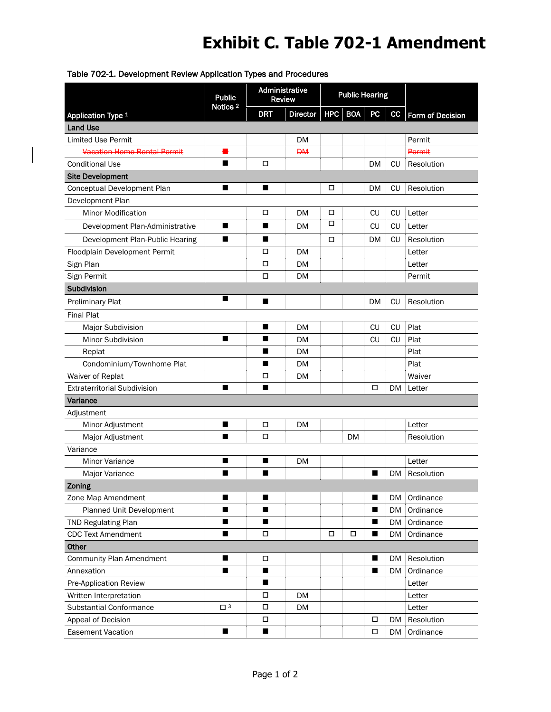# **Exhibit C. Table 702-1 Amendment**

|                                     | <b>Public</b>       |                | Administrative<br><b>Review</b> |         | <b>Public Hearing</b> |                |           |                  |
|-------------------------------------|---------------------|----------------|---------------------------------|---------|-----------------------|----------------|-----------|------------------|
| Application Type 1                  | Notice <sub>2</sub> | <b>DRT</b>     | <b>Director</b>                 | HPC BOA |                       | <b>PC</b>      | cc        | Form of Decision |
| <b>Land Use</b>                     |                     |                |                                 |         |                       |                |           |                  |
| <b>Limited Use Permit</b>           |                     |                | DM                              |         |                       |                |           | Permit           |
| <b>Vacation Home Rental Permit</b>  |                     |                | <b>DM</b>                       |         |                       |                |           | Permit           |
| <b>Conditional Use</b>              | ■                   | □              |                                 |         |                       | <b>DM</b>      | CU        | Resolution       |
| <b>Site Development</b>             |                     |                |                                 |         |                       |                |           |                  |
| Conceptual Development Plan         | ■                   | п              |                                 | □       |                       | <b>DM</b>      | СU        | Resolution       |
| Development Plan                    |                     |                |                                 |         |                       |                |           |                  |
| <b>Minor Modification</b>           |                     | □              | DM                              | □       |                       | CU             | <b>CU</b> | Letter           |
| Development Plan-Administrative     | ш                   | ■              | DM                              | □       |                       | CU             | CU        | Letter           |
| Development Plan-Public Hearing     | ■                   | ■              |                                 | □       |                       | DM             | CU        | Resolution       |
| Floodplain Development Permit       |                     | □              | <b>DM</b>                       |         |                       |                |           | Letter           |
| Sign Plan                           |                     | □              | <b>DM</b>                       |         |                       |                |           | Letter           |
| Sign Permit                         |                     | П              | <b>DM</b>                       |         |                       |                |           | Permit           |
| Subdivision                         |                     |                |                                 |         |                       |                |           |                  |
| <b>Preliminary Plat</b>             | ■                   | ■              |                                 |         |                       | DM             | <b>CU</b> | Resolution       |
| <b>Final Plat</b>                   |                     |                |                                 |         |                       |                |           |                  |
| <b>Major Subdivision</b>            |                     | ■              | DM                              |         |                       | CU             | <b>CU</b> | Plat             |
| <b>Minor Subdivision</b>            | ■                   | ■              | DM                              |         |                       | CU             | CU        | Plat             |
| Replat                              |                     | ■              | <b>DM</b>                       |         |                       |                |           | Plat             |
| Condominium/Townhome Plat           |                     | ■              | DM                              |         |                       |                |           | Plat             |
| Waiver of Replat                    |                     | □              | <b>DM</b>                       |         |                       |                |           | Waiver           |
| <b>Extraterritorial Subdivision</b> | ■                   | ■              |                                 |         |                       | □              | DM        | Letter           |
| Variance                            |                     |                |                                 |         |                       |                |           |                  |
| Adjustment                          |                     |                |                                 |         |                       |                |           |                  |
| Minor Adjustment                    | ■                   | $\Box$         | <b>DM</b>                       |         |                       |                |           | Letter           |
| Major Adjustment                    | ■                   | □              |                                 |         | DM                    |                |           | Resolution       |
| Variance                            |                     |                |                                 |         |                       |                |           |                  |
| <b>Minor Variance</b>               | ■                   | ■              | <b>DM</b>                       |         |                       |                |           | Letter           |
| Major Variance                      | ■                   | ■              |                                 |         |                       | П              | DM        | Resolution       |
| Zoning                              |                     |                |                                 |         |                       |                |           |                  |
| Zone Map Amendment                  | п                   | ■              |                                 |         |                       | $\blacksquare$ | <b>DM</b> | Ordinance        |
| Planned Unit Development            | ■                   | ■              |                                 |         |                       | ■              | <b>DM</b> | Ordinance        |
| <b>TND Regulating Plan</b>          | ■                   | ■              |                                 |         |                       | ■              | <b>DM</b> | Ordinance        |
| <b>CDC Text Amendment</b>           | ■                   | $\Box$         |                                 | □       | $\Box$                | ■              | <b>DM</b> | Ordinance        |
| Other                               |                     |                |                                 |         |                       |                |           |                  |
| <b>Community Plan Amendment</b>     | ■                   | □              |                                 |         |                       | ■              | DM        | Resolution       |
| Annexation                          | ш                   | П              |                                 |         |                       | ■              | DM        | Ordinance        |
| Pre-Application Review              |                     | П              |                                 |         |                       |                |           | Letter           |
| Written Interpretation              |                     | □              | DM                              |         |                       |                |           | Letter           |
| Substantial Conformance             | $\square$ 3         | $\Box$         | DM                              |         |                       |                |           | Letter           |
| Appeal of Decision                  |                     | □              |                                 |         |                       | □              | DM        | Resolution       |
| <b>Easement Vacation</b>            | п                   | $\blacksquare$ |                                 |         |                       | □              | DM        | Ordinance        |

### Table 702-1. Development Review Application Types and Procedures

 $\begin{array}{c} \hline \end{array}$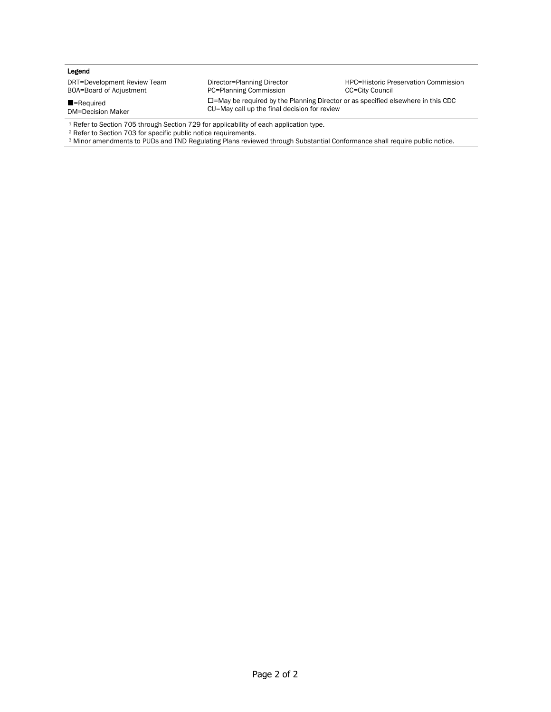### Legend

DRT=Development Review Team BOA=Board of Adjustment

■=Required DM=Decision Maker

Director=Planning Director PC=Planning Commission

HPC=Historic Preservation Commission CC=City Council

=May be required by the Planning Director or as specified elsewhere in this CDC CU=May call up the final decision for review

<sup>1</sup> Refer to Section 705 through Section 729 for applicability of each application type.

<sup>2</sup> Refer to Section 703 for specific public notice requirements.

<sup>3</sup> Minor amendments to PUDs and TND Regulating Plans reviewed through Substantial Conformance shall require public notice.